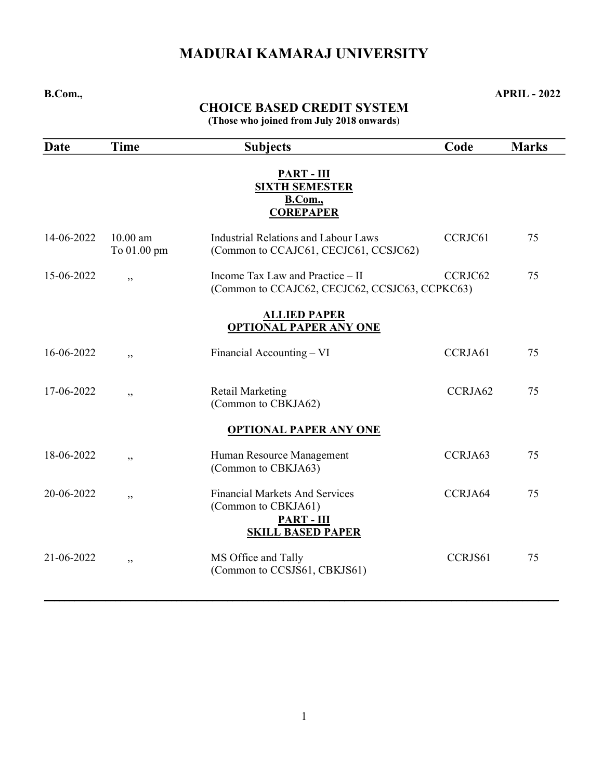# MADURAI KAMARAJ UNIVERSITY

B.Com., APRIL - 2022

# CHOICE BASED CREDIT SYSTEM

(Those who joined from July 2018 onwards)

| <b>Date</b> | <b>Time</b>               | <b>Subjects</b>                                                                                               | Code    | <b>Marks</b> |
|-------------|---------------------------|---------------------------------------------------------------------------------------------------------------|---------|--------------|
|             |                           | <b>PART - III</b><br><b>SIXTH SEMESTER</b><br><b>B.Com.</b> ,<br><b>COREPAPER</b>                             |         |              |
| 14-06-2022  | $10.00$ am<br>To 01.00 pm | <b>Industrial Relations and Labour Laws</b><br>(Common to CCAJC61, CECJC61, CCSJC62)                          | CCRJC61 | 75           |
| 15-06-2022  | , ,                       | Income Tax Law and Practice – II<br>(Common to CCAJC62, CECJC62, CCSJC63, CCPKC63)                            | CCRJC62 | 75           |
|             |                           | <b>ALLIED PAPER</b><br><b>OPTIONAL PAPER ANY ONE</b>                                                          |         |              |
| 16-06-2022  | ,                         | Financial Accounting – VI                                                                                     | CCRJA61 | 75           |
| 17-06-2022  | , ,                       | <b>Retail Marketing</b><br>(Common to CBKJA62)                                                                | CCRJA62 | 75           |
|             |                           | <b>OPTIONAL PAPER ANY ONE</b>                                                                                 |         |              |
| 18-06-2022  | ,                         | Human Resource Management<br>(Common to CBKJA63)                                                              | CCRJA63 | 75           |
| 20-06-2022  | , ,                       | <b>Financial Markets And Services</b><br>(Common to CBKJA61)<br><b>PART - III</b><br><b>SKILL BASED PAPER</b> | CCRJA64 | 75           |
| 21-06-2022  | , ,                       | MS Office and Tally<br>(Common to CCSJS61, CBKJS61)                                                           | CCRJS61 | 75           |

 $\mathcal{L}_\mathcal{L} = \mathcal{L}_\mathcal{L} = \mathcal{L}_\mathcal{L} = \mathcal{L}_\mathcal{L} = \mathcal{L}_\mathcal{L} = \mathcal{L}_\mathcal{L} = \mathcal{L}_\mathcal{L} = \mathcal{L}_\mathcal{L} = \mathcal{L}_\mathcal{L} = \mathcal{L}_\mathcal{L} = \mathcal{L}_\mathcal{L} = \mathcal{L}_\mathcal{L} = \mathcal{L}_\mathcal{L} = \mathcal{L}_\mathcal{L} = \mathcal{L}_\mathcal{L} = \mathcal{L}_\mathcal{L} = \mathcal{L}_\mathcal{L}$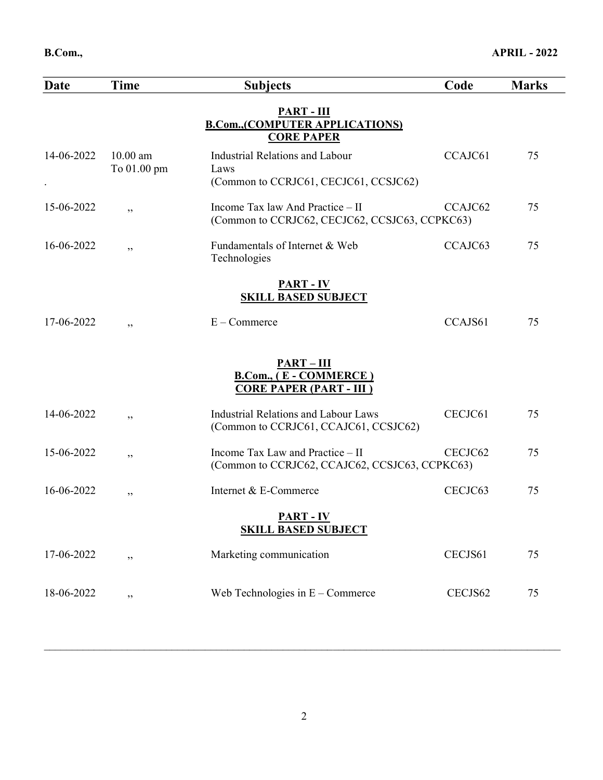| Date       | <b>Time</b>               | <b>Subjects</b>                                                                      | Code    | <b>Marks</b> |
|------------|---------------------------|--------------------------------------------------------------------------------------|---------|--------------|
|            |                           | $PART - III$<br><b>B.Com., (COMPUTER APPLICATIONS)</b><br><b>CORE PAPER</b>          |         |              |
| 14-06-2022 | $10.00$ am<br>To 01.00 pm | Industrial Relations and Labour<br>Laws<br>(Common to CCRJC61, CECJC61, CCSJC62)     | CCAJC61 | 75           |
| 15-06-2022 | , ,                       | Income Tax law And Practice – II<br>(Common to CCRJC62, CECJC62, CCSJC63, CCPKC63)   | CCAJC62 | 75           |
| 16-06-2022 | ,,                        | Fundamentals of Internet & Web<br>Technologies                                       | CCAJC63 | 75           |
|            |                           | <b>PART - IV</b><br><b>SKILL BASED SUBJECT</b>                                       |         |              |
| 17-06-2022 | ,,                        | $E -$ Commerce                                                                       | CCAJS61 | 75           |
|            |                           | $PART - III$<br><b>B.Com., (E - COMMERCE)</b><br><b>CORE PAPER (PART - III)</b>      |         |              |
| 14-06-2022 | , ,                       | <b>Industrial Relations and Labour Laws</b><br>(Common to CCRJC61, CCAJC61, CCSJC62) | CECJC61 | 75           |
| 15-06-2022 | ,,                        | Income Tax Law and Practice - II<br>(Common to CCRJC62, CCAJC62, CCSJC63, CCPKC63)   | CECJC62 | 75           |
| 16-06-2022 | ,,                        | Internet & E-Commerce                                                                | CECJC63 | 75           |
|            |                           | <b>PART - IV</b><br><b>SKILL BASED SUBJECT</b>                                       |         |              |
| 17-06-2022 | ,,                        | Marketing communication                                                              | CECJS61 | 75           |
| 18-06-2022 | ,,                        | Web Technologies in $E$ – Commerce                                                   | CECJS62 | 75           |
|            |                           |                                                                                      |         |              |

 $\mathcal{L}_\mathcal{L} = \mathcal{L}_\mathcal{L} = \mathcal{L}_\mathcal{L} = \mathcal{L}_\mathcal{L} = \mathcal{L}_\mathcal{L} = \mathcal{L}_\mathcal{L} = \mathcal{L}_\mathcal{L} = \mathcal{L}_\mathcal{L} = \mathcal{L}_\mathcal{L} = \mathcal{L}_\mathcal{L} = \mathcal{L}_\mathcal{L} = \mathcal{L}_\mathcal{L} = \mathcal{L}_\mathcal{L} = \mathcal{L}_\mathcal{L} = \mathcal{L}_\mathcal{L} = \mathcal{L}_\mathcal{L} = \mathcal{L}_\mathcal{L}$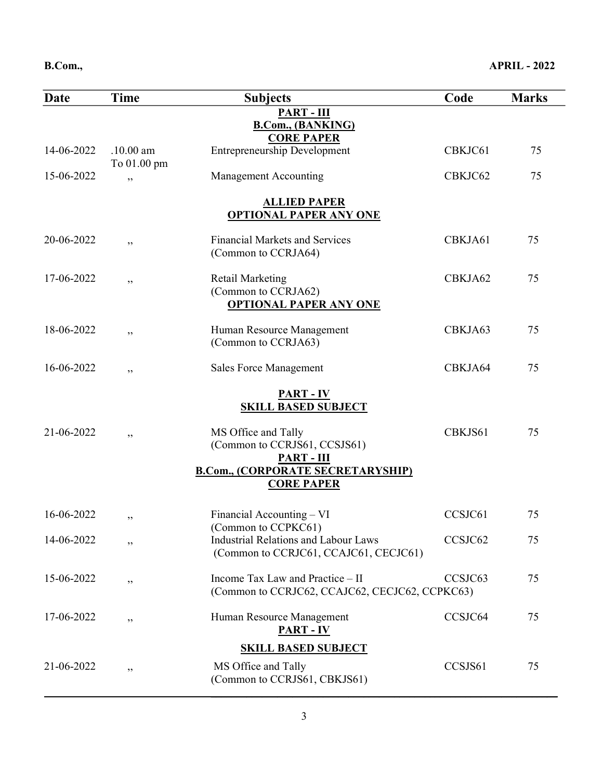| Date       | <b>Time</b>                | <b>Subjects</b>                                                                      | Code    | <b>Marks</b> |
|------------|----------------------------|--------------------------------------------------------------------------------------|---------|--------------|
|            |                            | <b>PART - III</b><br><b>B.Com., (BANKING)</b><br><b>CORE PAPER</b>                   |         |              |
| 14-06-2022 | $.10.00$ am<br>To 01.00 pm | <b>Entrepreneurship Development</b>                                                  | CBKJC61 | 75           |
| 15-06-2022 | ,,                         | <b>Management Accounting</b>                                                         | CBKJC62 | 75           |
|            |                            | <b>ALLIED PAPER</b><br><b>OPTIONAL PAPER ANY ONE</b>                                 |         |              |
| 20-06-2022 | , ,                        | <b>Financial Markets and Services</b><br>(Common to CCRJA64)                         | CBKJA61 | 75           |
| 17-06-2022 | ,,                         | <b>Retail Marketing</b><br>(Common to CCRJA62)<br><b>OPTIONAL PAPER ANY ONE</b>      | CBKJA62 | 75           |
| 18-06-2022 | ,,                         | Human Resource Management<br>(Common to CCRJA63)                                     | CBKJA63 | 75           |
| 16-06-2022 | ,,                         | <b>Sales Force Management</b>                                                        | CBKJA64 | 75           |
|            |                            | <b>PART - IV</b><br><b>SKILL BASED SUBJECT</b>                                       |         |              |
| 21-06-2022 | , ,                        | MS Office and Tally<br>(Common to CCRJS61, CCSJS61)<br>$PART - III$                  | CBKJS61 | 75           |
|            |                            | <b>B.Com., (CORPORATE SECRETARYSHIP)</b><br><b>CORE PAPER</b>                        |         |              |
| 16-06-2022 | ,,                         | Financial Accounting – VI<br>(Common to CCPKC61)                                     | CCSJC61 | 75           |
| 14-06-2022 | ,,                         | <b>Industrial Relations and Labour Laws</b><br>(Common to CCRJC61, CCAJC61, CECJC61) | CCSJC62 | 75           |
| 15-06-2022 | ,,                         | Income Tax Law and Practice - II<br>(Common to CCRJC62, CCAJC62, CECJC62, CCPKC63)   | CCSJC63 | 75           |
| 17-06-2022 | , ,                        | Human Resource Management<br><b>PART - IV</b>                                        | CCSJC64 | 75           |
|            |                            | <b>SKILL BASED SUBJECT</b>                                                           |         |              |
| 21-06-2022 | ,,                         | MS Office and Tally<br>(Common to CCRJS61, CBKJS61)                                  | CCSJS61 | 75           |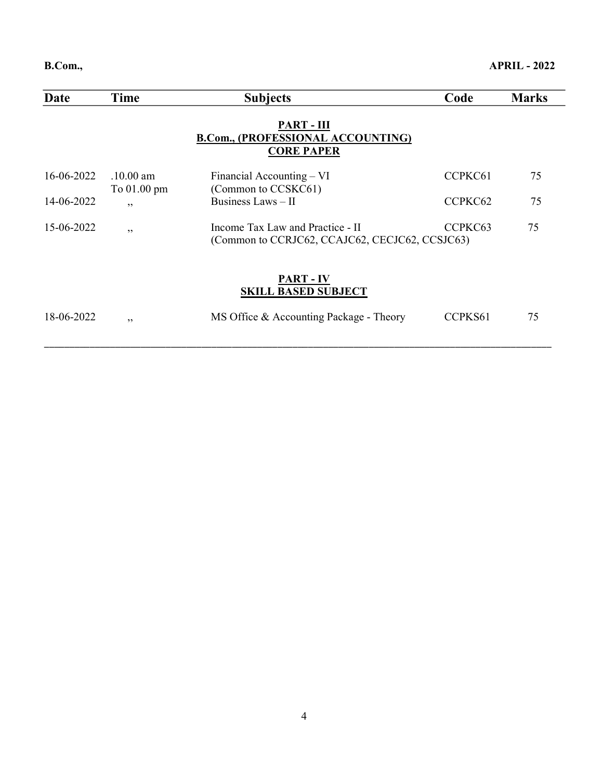| Date       | Time                               | <b>Subjects</b>                                                                    | Code    | <b>Marks</b> |
|------------|------------------------------------|------------------------------------------------------------------------------------|---------|--------------|
|            |                                    | <b>PART - III</b><br>B.Com., (PROFESSIONAL ACCOUNTING)<br><b>CORE PAPER</b>        |         |              |
| 16-06-2022 | $.10.00 \text{ am}$<br>To 01.00 pm | Financial Accounting – VI<br>(Common to CCSKC61)                                   | CCPKC61 | 75           |
| 14-06-2022 | , ,                                | Business Laws - II                                                                 | CCPKC62 | 75           |
| 15-06-2022 | , ,                                | Income Tax Law and Practice - II<br>(Common to CCRJC62, CCAJC62, CECJC62, CCSJC63) | CCPKC63 | 75           |
|            |                                    | <b>PART - IV</b><br><b>SKILL BASED SUBJECT</b>                                     |         |              |
| 18-06-2022 | ,,                                 | MS Office & Accounting Package - Theory                                            | CCPKS61 | 75           |

\_\_\_\_\_\_\_\_\_\_\_\_\_\_\_\_\_\_\_\_\_\_\_\_\_\_\_\_\_\_\_\_\_\_\_\_\_\_\_\_\_\_\_\_\_\_\_\_\_\_\_\_\_\_\_\_\_\_\_\_\_\_\_\_\_\_\_\_\_\_\_\_\_\_\_\_\_\_\_\_\_\_\_\_\_\_\_\_\_\_\_\_\_\_\_\_\_\_\_\_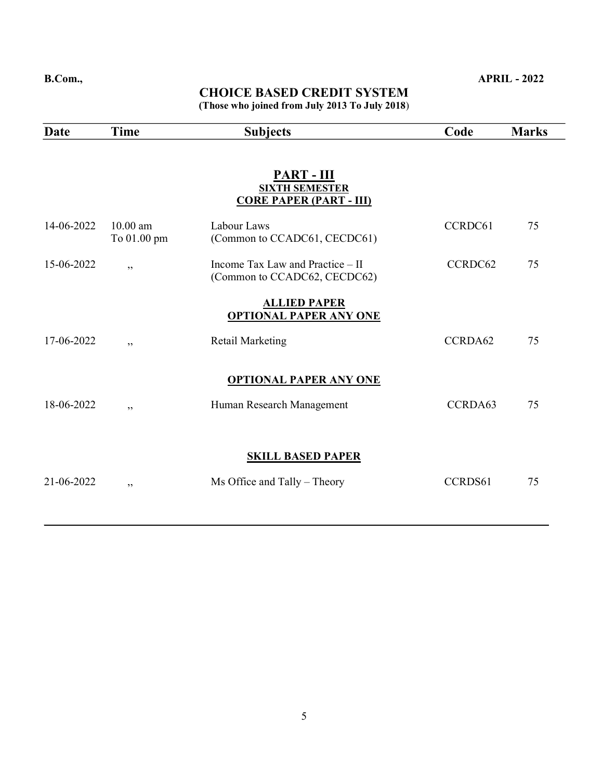#### CHOICE BASED CREDIT SYSTEM (Those who joined from July 2013 To July 2018)

| <b>Date</b> | <b>Time</b> | <b>Subjects</b>                                                  | Code    | <b>Marks</b> |
|-------------|-------------|------------------------------------------------------------------|---------|--------------|
|             |             |                                                                  |         |              |
|             |             | <b>PART - III</b><br><b>SIXTH SEMESTER</b>                       |         |              |
|             |             | <b>CORE PAPER (PART - III)</b>                                   |         |              |
| 14-06-2022  | $10.00$ am  | Labour Laws                                                      | CCRDC61 | 75           |
|             | To 01.00 pm | (Common to CCADC61, CECDC61)                                     |         |              |
| 15-06-2022  | , ,         | Income Tax Law and Practice – II<br>(Common to CCADC62, CECDC62) | CCRDC62 | 75           |
|             |             | <b>ALLIED PAPER</b>                                              |         |              |
|             |             | <b>OPTIONAL PAPER ANY ONE</b>                                    |         |              |
| 17-06-2022  | , ,         | <b>Retail Marketing</b>                                          | CCRDA62 | 75           |
|             |             | <b>OPTIONAL PAPER ANY ONE</b>                                    |         |              |
|             |             |                                                                  |         |              |
| 18-06-2022  | , ,         | Human Research Management                                        | CCRDA63 | 75           |
|             |             |                                                                  |         |              |
|             |             | <b>SKILL BASED PAPER</b>                                         |         |              |
| 21-06-2022  | , ,         | Ms Office and Tally – Theory                                     | CCRDS61 | 75           |
|             |             |                                                                  |         |              |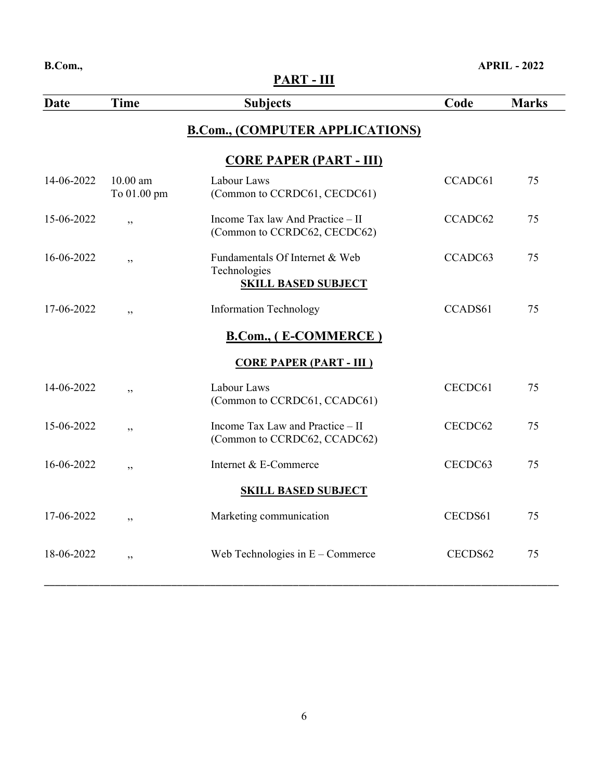## PART - III

| Date       | <b>Time</b>               | <b>Subjects</b>                                                              | Code    | <b>Marks</b> |
|------------|---------------------------|------------------------------------------------------------------------------|---------|--------------|
|            |                           | <b>B.Com., (COMPUTER APPLICATIONS)</b>                                       |         |              |
|            |                           | <b>CORE PAPER (PART - III)</b>                                               |         |              |
| 14-06-2022 | $10.00$ am<br>To 01.00 pm | Labour Laws<br>(Common to CCRDC61, CECDC61)                                  | CCADC61 | 75           |
| 15-06-2022 | ,,                        | Income Tax law And Practice - II<br>(Common to CCRDC62, CECDC62)             | CCADC62 | 75           |
| 16-06-2022 | ,,                        | Fundamentals Of Internet & Web<br>Technologies<br><b>SKILL BASED SUBJECT</b> | CCADC63 | 75           |
| 17-06-2022 | , ,                       | <b>Information Technology</b>                                                | CCADS61 | 75           |
|            |                           | <b>B.Com., (E-COMMERCE)</b>                                                  |         |              |
|            |                           | <b>CORE PAPER (PART - III)</b>                                               |         |              |
| 14-06-2022 | ,                         | Labour Laws<br>(Common to CCRDC61, CCADC61)                                  | CECDC61 | 75           |
| 15-06-2022 | , ,                       | Income Tax Law and Practice - II<br>(Common to CCRDC62, CCADC62)             | CECDC62 | 75           |
| 16-06-2022 | ,,                        | Internet & E-Commerce                                                        | CECDC63 | 75           |
|            |                           | <b>SKILL BASED SUBJECT</b>                                                   |         |              |
| 17-06-2022 | , ,                       | Marketing communication                                                      | CECDS61 | 75           |
| 18-06-2022 | , ,                       | Web Technologies in $E -$ Commerce                                           | CECDS62 | 75           |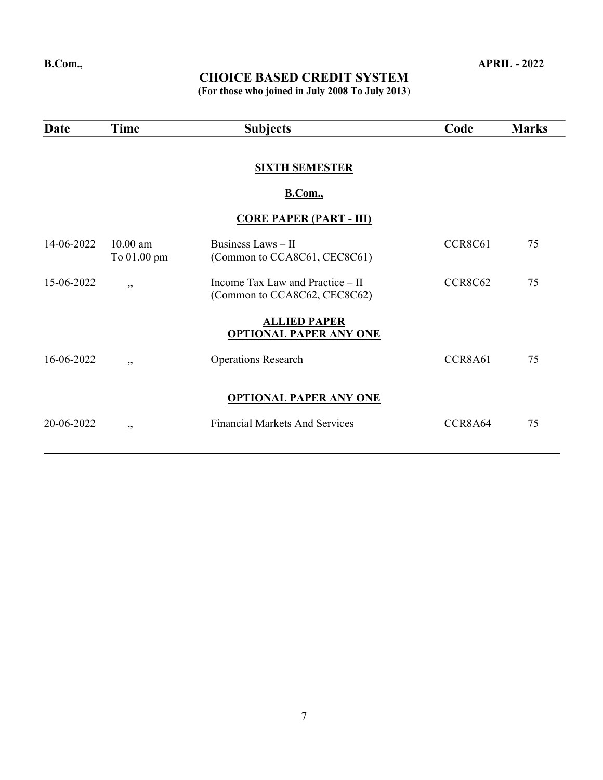(For those who joined in July 2008 To July 2013)

| Date       | <b>Time</b>               | <b>Subjects</b>                                                  | Code    | <b>Marks</b> |
|------------|---------------------------|------------------------------------------------------------------|---------|--------------|
|            |                           | <b>SIXTH SEMESTER</b><br><b>B.Com.</b> ,                         |         |              |
|            |                           | <b>CORE PAPER (PART - III)</b>                                   |         |              |
| 14-06-2022 | $10.00$ am<br>To 01.00 pm | Business Laws - II<br>(Common to CCA8C61, CEC8C61)               | CCR8C61 | 75           |
| 15-06-2022 | , ,                       | Income Tax Law and Practice – II<br>(Common to CCA8C62, CEC8C62) | CCR8C62 | 75           |
|            |                           | <b>ALLIED PAPER</b><br><b>OPTIONAL PAPER ANY ONE</b>             |         |              |
| 16-06-2022 | , ,                       | <b>Operations Research</b>                                       | CCR8A61 | 75           |
|            |                           | <b>OPTIONAL PAPER ANY ONE</b>                                    |         |              |
| 20-06-2022 | , ,                       | <b>Financial Markets And Services</b>                            | CCR8A64 | 75           |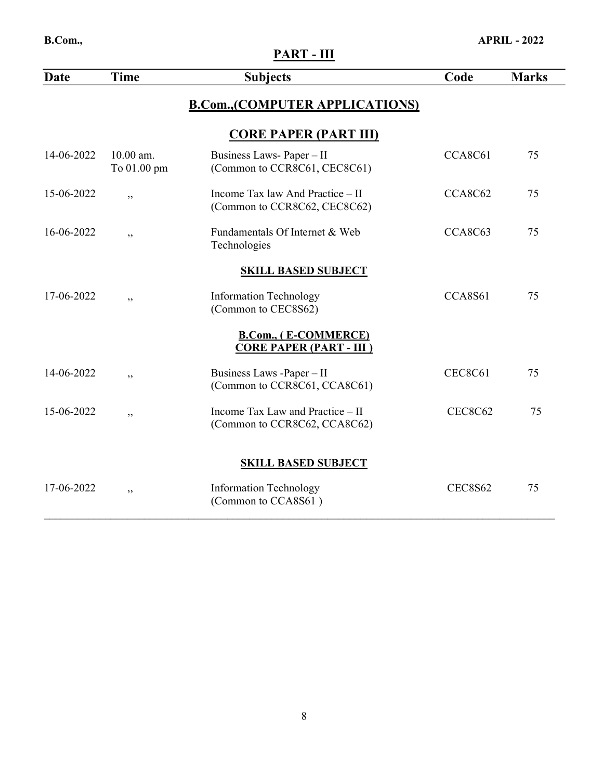| B.Com.,    |                          |                                                                  |                | <b>APRIL - 2022</b> |
|------------|--------------------------|------------------------------------------------------------------|----------------|---------------------|
|            |                          | PART - III                                                       |                |                     |
| Date       | <b>Time</b>              | <b>Subjects</b>                                                  | Code           | <b>Marks</b>        |
|            |                          | <b>B.Com., (COMPUTER APPLICATIONS)</b>                           |                |                     |
|            |                          | <b>CORE PAPER (PART III)</b>                                     |                |                     |
| 14-06-2022 | 10.00 am.<br>To 01.00 pm | Business Laws-Paper-II<br>(Common to CCR8C61, CEC8C61)           | CCA8C61        | 75                  |
| 15-06-2022 | ,                        | Income Tax law And Practice - II<br>(Common to CCR8C62, CEC8C62) | CCA8C62        | 75                  |
| 16-06-2022 | ,                        | Fundamentals Of Internet & Web<br>Technologies                   | CCA8C63        | 75                  |
|            |                          | <b>SKILL BASED SUBJECT</b>                                       |                |                     |
| 17-06-2022 | , ,                      | <b>Information Technology</b><br>(Common to CEC8S62)             | CCA8S61        | 75                  |
|            |                          | <b>B.Com., (E-COMMERCE)</b><br><b>CORE PAPER (PART - III)</b>    |                |                     |
| 14-06-2022 | ,,                       | Business Laws -Paper - II<br>(Common to CCR8C61, CCA8C61)        | <b>CEC8C61</b> | 75                  |
| 15-06-2022 | ,                        | Income Tax Law and Practice - II<br>(Common to CCR8C62, CCA8C62) | <b>CEC8C62</b> | 75                  |
|            |                          | <b>SKILL BASED SUBJECT</b>                                       |                |                     |
| 17-06-2022 | , ,                      | Information Technology<br>(Common to CCA8S61)                    | <b>CEC8S62</b> | 75                  |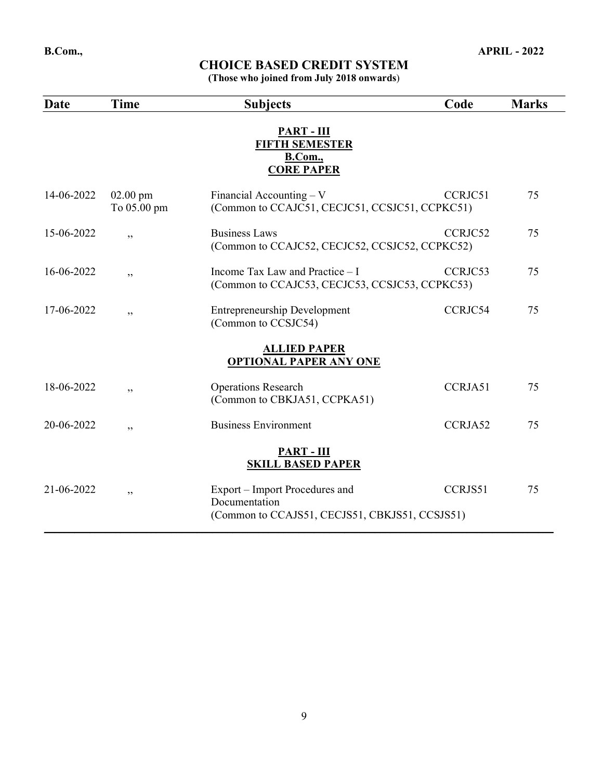(Those who joined from July 2018 onwards)

| Date       | <b>Time</b>               | <b>Subjects</b>                                                                                   | Code    | <b>Marks</b> |
|------------|---------------------------|---------------------------------------------------------------------------------------------------|---------|--------------|
|            |                           | PART - III<br><b>FIFTH SEMESTER</b><br><b>B.Com.,</b><br><b>CORE PAPER</b>                        |         |              |
| 14-06-2022 | $02.00$ pm<br>To 05.00 pm | Financial Accounting $-V$<br>(Common to CCAJC51, CECJC51, CCSJC51, CCPKC51)                       | CCRJC51 | 75           |
| 15-06-2022 | ,,                        | <b>Business Laws</b><br>(Common to CCAJC52, CECJC52, CCSJC52, CCPKC52)                            | CCRJC52 | 75           |
| 16-06-2022 | , ,                       | Income Tax Law and Practice - I<br>(Common to CCAJC53, CECJC53, CCSJC53, CCPKC53)                 | CCRJC53 | 75           |
| 17-06-2022 | , ,                       | <b>Entrepreneurship Development</b><br>(Common to CCSJC54)                                        | CCRJC54 | 75           |
|            |                           | <b>ALLIED PAPER</b><br><b>OPTIONAL PAPER ANY ONE</b>                                              |         |              |
| 18-06-2022 | , ,                       | <b>Operations Research</b><br>(Common to CBKJA51, CCPKA51)                                        | CCRJA51 | 75           |
| 20-06-2022 | , ,                       | <b>Business Environment</b>                                                                       | CCRJA52 | 75           |
|            |                           | <b>PART - III</b><br><b>SKILL BASED PAPER</b>                                                     |         |              |
| 21-06-2022 | ,,                        | Export – Import Procedures and<br>Documentation<br>(Common to CCAJS51, CECJS51, CBKJS51, CCSJS51) | CCRJS51 | 75           |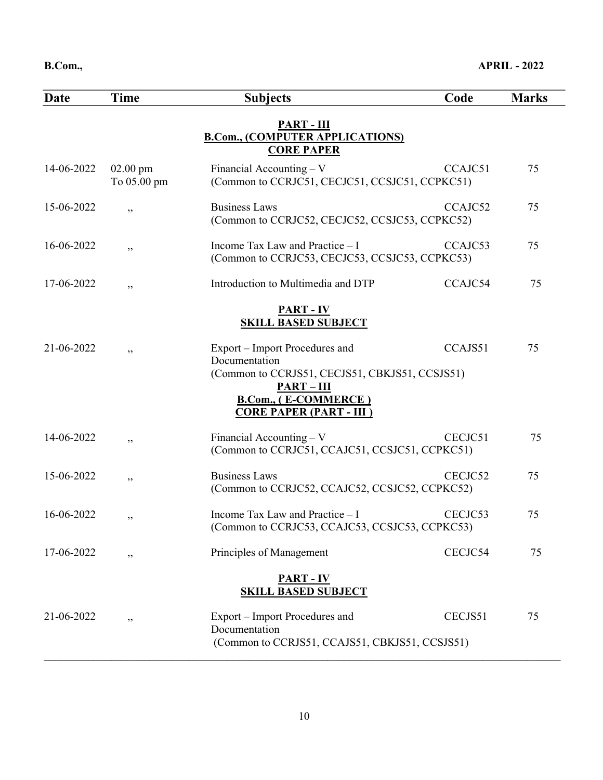| Date       | Time                      | <b>Subjects</b>                                                                                                                                                                    | Code    | <b>Marks</b> |
|------------|---------------------------|------------------------------------------------------------------------------------------------------------------------------------------------------------------------------------|---------|--------------|
|            |                           | <b>PART - III</b><br><b>B.Com., (COMPUTER APPLICATIONS)</b><br><b>CORE PAPER</b>                                                                                                   |         |              |
| 14-06-2022 | $02.00$ pm<br>To 05.00 pm | Financial Accounting - V<br>(Common to CCRJC51, CECJC51, CCSJC51, CCPKC51)                                                                                                         | CCAJC51 | 75           |
| 15-06-2022 | ,,                        | <b>Business Laws</b><br>(Common to CCRJC52, CECJC52, CCSJC53, CCPKC52)                                                                                                             | CCAJC52 | 75           |
| 16-06-2022 | ,,                        | Income Tax Law and Practice - I<br>(Common to CCRJC53, CECJC53, CCSJC53, CCPKC53)                                                                                                  | CCAJC53 | 75           |
| 17-06-2022 | ,,                        | Introduction to Multimedia and DTP                                                                                                                                                 | CCAJC54 | 75           |
|            |                           | <b>PART - IV</b><br><b>SKILL BASED SUBJECT</b>                                                                                                                                     |         |              |
| 21-06-2022 | ,,                        | Export – Import Procedures and<br>Documentation<br>(Common to CCRJS51, CECJS51, CBKJS51, CCSJS51)<br>$PART - III$<br><b>B.Com., (E-COMMERCE)</b><br><b>CORE PAPER (PART - III)</b> | CCAJS51 | 75           |
| 14-06-2022 | ,,                        | Financial Accounting $-V$<br>(Common to CCRJC51, CCAJC51, CCSJC51, CCPKC51)                                                                                                        | CECJC51 | 75           |
| 15-06-2022 | ,,                        | <b>Business Laws</b><br>(Common to CCRJC52, CCAJC52, CCSJC52, CCPKC52)                                                                                                             | CECJC52 | 75           |
| 16-06-2022 | ,,                        | Income Tax Law and Practice - I<br>(Common to CCRJC53, CCAJC53, CCSJC53, CCPKC53)                                                                                                  | CECJC53 | 75           |
| 17-06-2022 | ,,                        | Principles of Management                                                                                                                                                           | CECJC54 | 75           |
|            |                           | <b>PART - IV</b><br><b>SKILL BASED SUBJECT</b>                                                                                                                                     |         |              |
| 21-06-2022 | , ,                       | Export – Import Procedures and<br>Documentation<br>(Common to CCRJS51, CCAJS51, CBKJS51, CCSJS51)                                                                                  | CECJS51 | 75           |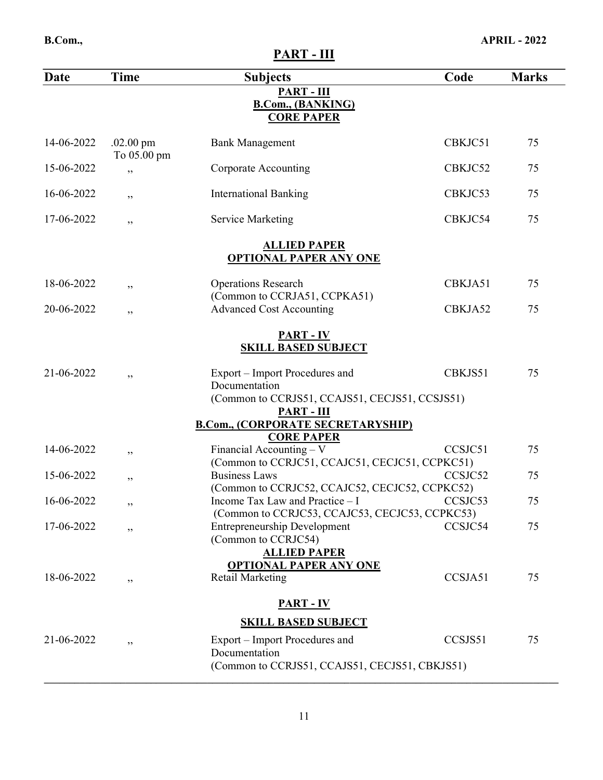PART - III

| Date       | <b>Time</b>                        | <b>Subjects</b>                                                                           | Code    | <b>Marks</b> |
|------------|------------------------------------|-------------------------------------------------------------------------------------------|---------|--------------|
|            |                                    | PART - III<br><b>B.Com., (BANKING)</b><br><b>CORE PAPER</b>                               |         |              |
| 14-06-2022 | $.02.00 \text{ pm}$<br>To 05.00 pm | <b>Bank Management</b>                                                                    | CBKJC51 | 75           |
| 15-06-2022 | , ,                                | <b>Corporate Accounting</b>                                                               | CBKJC52 | 75           |
| 16-06-2022 | ,,                                 | <b>International Banking</b>                                                              | CBKJC53 | 75           |
| 17-06-2022 | , ,                                | <b>Service Marketing</b>                                                                  | CBKJC54 | 75           |
|            |                                    | <b>ALLIED PAPER</b><br><b>OPTIONAL PAPER ANY ONE</b>                                      |         |              |
| 18-06-2022 | , ,                                | <b>Operations Research</b>                                                                | CBKJA51 | 75           |
| 20-06-2022 | ,,                                 | (Common to CCRJA51, CCPKA51)<br><b>Advanced Cost Accounting</b>                           | CBKJA52 | 75           |
|            |                                    | <b>PART - IV</b><br><b>SKILL BASED SUBJECT</b>                                            |         |              |
| 21-06-2022 | , ,                                | Export – Import Procedures and<br>Documentation                                           | CBKJS51 | 75           |
|            |                                    | (Common to CCRJS51, CCAJS51, CECJS51, CCSJS51)<br><b>PART-III</b>                         |         |              |
|            |                                    | <b>B.Com., (CORPORATE SECRETARYSHIP)</b><br><b>CORE PAPER</b>                             |         |              |
| 14-06-2022 | ,,                                 | Financial Accounting $-V$<br>(Common to CCRJC51, CCAJC51, CECJC51, CCPKC51)               | CCSJC51 | 75           |
| 15-06-2022 | ,,                                 | <b>Business Laws</b><br>(Common to CCRJC52, CCAJC52, CECJC52, CCPKC52)                    | CCSJC52 | 75           |
| 16-06-2022 | "                                  | Income Tax Law and Practice - I CCSJC53<br>(Common to CCRJC53, CCAJC53, CECJC53, CCPKC53) |         | 75           |
| 17-06-2022 | , ,                                | <b>Entrepreneurship Development</b><br>(Common to CCRJC54)                                | CCSJC54 | 75           |
|            |                                    | <b>ALLIED PAPER</b>                                                                       |         |              |
| 18-06-2022 | ,,                                 | <b>OPTIONAL PAPER ANY ONE</b><br><b>Retail Marketing</b>                                  | CCSJA51 | 75           |
|            |                                    | <b>PART - IV</b>                                                                          |         |              |
|            |                                    | <b>SKILL BASED SUBJECT</b>                                                                |         |              |
| 21-06-2022 | , ,                                | Export – Import Procedures and<br>Documentation                                           | CCSJS51 | 75           |
|            |                                    | (Common to CCRJS51, CCAJS51, CECJS51, CBKJS51)                                            |         |              |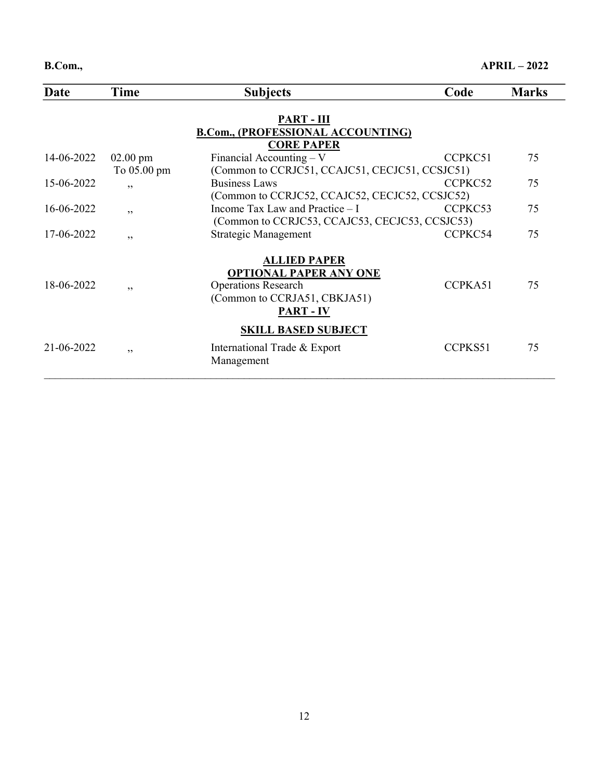| Date       | Time        | <b>Subjects</b>                                | Code    | <b>Marks</b> |
|------------|-------------|------------------------------------------------|---------|--------------|
|            |             | <b>PART-III</b>                                |         |              |
|            |             | <b>B.Com., (PROFESSIONAL ACCOUNTING)</b>       |         |              |
|            |             | <b>CORE PAPER</b>                              |         |              |
| 14-06-2022 | $02.00$ pm  | Financial Accounting $-V$                      | CCPKC51 | 75           |
|            | To 05.00 pm | (Common to CCRJC51, CCAJC51, CECJC51, CCSJC51) |         |              |
| 15-06-2022 | , ,         | <b>Business Laws</b>                           | CCPKC52 | 75           |
|            |             | (Common to CCRJC52, CCAJC52, CECJC52, CCSJC52) |         |              |
| 16-06-2022 | , ,         | Income Tax Law and Practice $-I$               | CCPKC53 | 75           |
|            |             | (Common to CCRJC53, CCAJC53, CECJC53, CCSJC53) |         |              |
| 17-06-2022 | , ,         | Strategic Management                           | CCPKC54 | 75           |
|            |             |                                                |         |              |
|            |             | <b>ALLIED PAPER</b>                            |         |              |
| 18-06-2022 |             | <b>OPTIONAL PAPER ANY ONE</b>                  | CCPKA51 | 75           |
|            | , ,         | <b>Operations Research</b>                     |         |              |
|            |             | (Common to CCRJA51, CBKJA51)                   |         |              |
|            |             | <b>PART - IV</b>                               |         |              |
|            |             | <b>SKILL BASED SUBJECT</b>                     |         |              |
| 21-06-2022 | , ,         | International Trade & Export                   | CCPKS51 | 75           |
|            |             | Management                                     |         |              |
|            |             |                                                |         |              |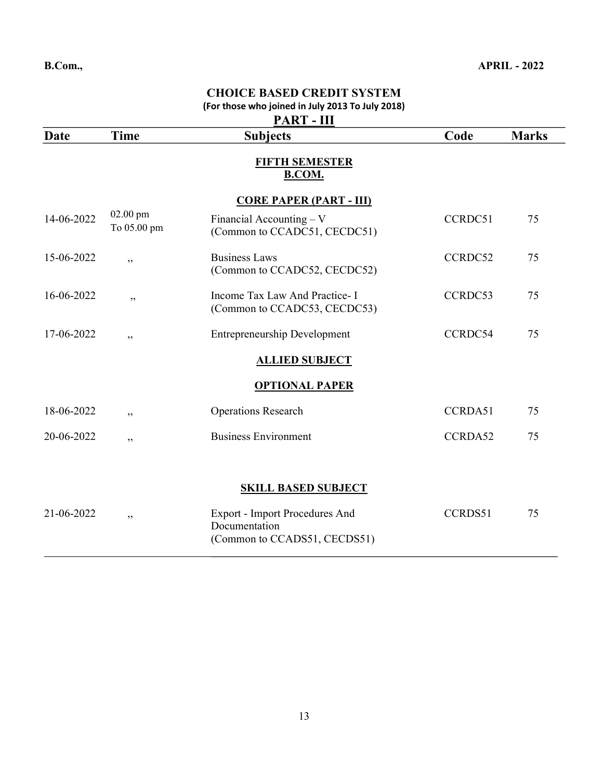|             |                         | CHOICE DASED CREDIT STSTEM<br>(For those who joined in July 2013 To July 2018)<br><b>PART-III</b> |         |              |
|-------------|-------------------------|---------------------------------------------------------------------------------------------------|---------|--------------|
| <b>Date</b> | <b>Time</b>             | <b>Subjects</b>                                                                                   | Code    | <b>Marks</b> |
|             |                         | <b>FIFTH SEMESTER</b><br><b>B.COM.</b>                                                            |         |              |
|             |                         | <b>CORE PAPER (PART - III)</b>                                                                    |         |              |
| 14-06-2022  | 02.00 pm<br>To 05.00 pm | Financial Accounting $-V$<br>(Common to CCADC51, CECDC51)                                         | CCRDC51 | 75           |
| 15-06-2022  | , ,                     | <b>Business Laws</b><br>(Common to CCADC52, CECDC52)                                              | CCRDC52 | 75           |
| 16-06-2022  | , ,                     | Income Tax Law And Practice- I<br>(Common to CCADC53, CECDC53)                                    | CCRDC53 | 75           |
| 17-06-2022  | , ,                     | <b>Entrepreneurship Development</b>                                                               | CCRDC54 | 75           |
|             |                         | <b>ALLIED SUBJECT</b>                                                                             |         |              |
|             |                         | <b>OPTIONAL PAPER</b>                                                                             |         |              |
| 18-06-2022  | ,,                      | <b>Operations Research</b>                                                                        | CCRDA51 | 75           |
| 20-06-2022  | ,,                      | <b>Business Environment</b>                                                                       | CCRDA52 | 75           |
|             |                         |                                                                                                   |         |              |
|             |                         | <b>SKILL BASED SUBJECT</b>                                                                        |         |              |
| 21-06-2022  | , ,                     | <b>Export - Import Procedures And</b><br>Documentation<br>(Common to CCADS51, CECDS51)            | CCRDS51 | 75           |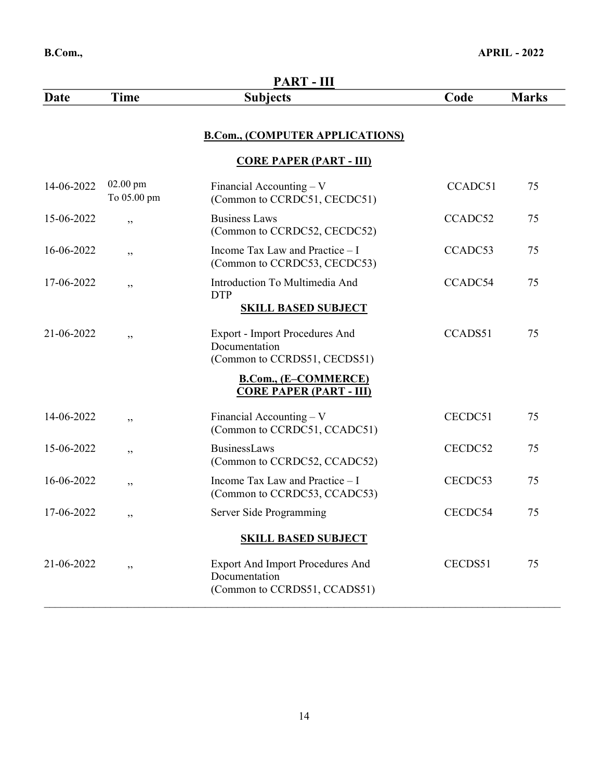|            |                           | PART-III                                                                                 |         |              |
|------------|---------------------------|------------------------------------------------------------------------------------------|---------|--------------|
| Date       | <b>Time</b>               | <b>Subjects</b>                                                                          | Code    | <b>Marks</b> |
|            |                           | <b>B.Com., (COMPUTER APPLICATIONS)</b>                                                   |         |              |
|            |                           | <b>CORE PAPER (PART - III)</b>                                                           |         |              |
| 14-06-2022 | $02.00$ pm<br>To 05.00 pm | Financial Accounting $-V$<br>(Common to CCRDC51, CECDC51)                                | CCADC51 | 75           |
| 15-06-2022 | , ,                       | <b>Business Laws</b><br>(Common to CCRDC52, CECDC52)                                     | CCADC52 | 75           |
| 16-06-2022 | , ,                       | Income Tax Law and Practice - I<br>(Common to CCRDC53, CECDC53)                          | CCADC53 | 75           |
| 17-06-2022 | , ,                       | Introduction To Multimedia And<br><b>DTP</b>                                             | CCADC54 | 75           |
|            |                           | <b>SKILL BASED SUBJECT</b>                                                               |         |              |
| 21-06-2022 | , ,                       | <b>Export - Import Procedures And</b><br>Documentation<br>(Common to CCRDS51, CECDS51)   | CCADS51 | 75           |
|            |                           | <b>B.Com., (E-COMMERCE)</b><br><b>CORE PAPER (PART - III)</b>                            |         |              |
| 14-06-2022 | , ,                       | Financial Accounting $-V$<br>(Common to CCRDC51, CCADC51)                                | CECDC51 | 75           |
| 15-06-2022 | , ,                       | BusinessLaws<br>(Common to CCRDC52, CCADC52)                                             | CECDC52 | 75           |
| 16-06-2022 | , ,                       | Income Tax Law and Practice - I<br>(Common to CCRDC53, CCADC53)                          | CECDC53 | 75           |
| 17-06-2022 | , ,                       | Server Side Programming                                                                  | CECDC54 | 75           |
|            |                           | <b>SKILL BASED SUBJECT</b>                                                               |         |              |
| 21-06-2022 | , ,                       | <b>Export And Import Procedures And</b><br>Documentation<br>(Common to CCRDS51, CCADS51) | CECDS51 | 75           |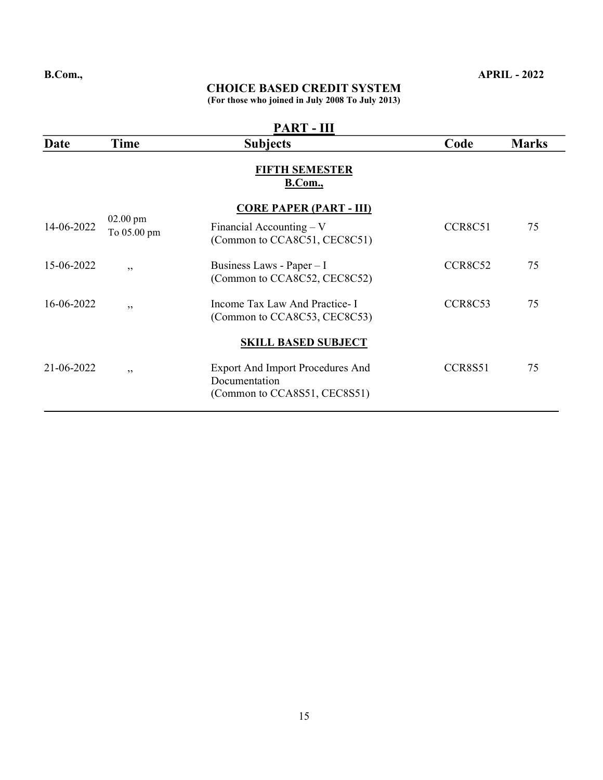### CHOICE BASED CREDIT SYSTEM

(For those who joined in July 2008 To July 2013)

|            | <b>PART - III</b>         |                                                                                             |                |              |  |  |
|------------|---------------------------|---------------------------------------------------------------------------------------------|----------------|--------------|--|--|
| Date       | Time                      | <b>Subjects</b>                                                                             | Code           | <b>Marks</b> |  |  |
|            |                           | <b>FIFTH SEMESTER</b><br>B.Com.,                                                            |                |              |  |  |
| 14-06-2022 | $02.00$ pm<br>To 05.00 pm | <b>CORE PAPER (PART - III)</b><br>Financial Accounting $-V$<br>(Common to CCA8C51, CEC8C51) | CCR8C51        | 75           |  |  |
| 15-06-2022 | , ,                       | Business Laws - Paper $-1$<br>(Common to CCA8C52, CEC8C52)                                  | <b>CCR8C52</b> | 75           |  |  |
| 16-06-2022 | , ,                       | Income Tax Law And Practice- I<br>(Common to CCA8C53, CEC8C53)                              | CCR8C53        | 75           |  |  |
|            |                           | <b>SKILL BASED SUBJECT</b>                                                                  |                |              |  |  |
| 21-06-2022 | , ,                       | Export And Import Procedures And<br>Documentation<br>(Common to CCA8S51, CEC8S51)           | CCR8S51        | 75           |  |  |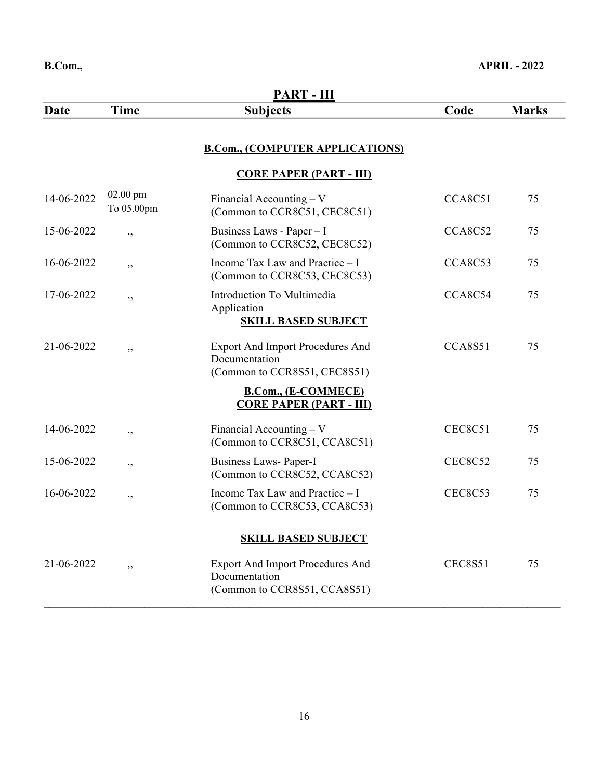|            |                          | <b>PART - III</b>                                                                        |                |              |
|------------|--------------------------|------------------------------------------------------------------------------------------|----------------|--------------|
| Date       | <b>Time</b>              | <b>Subjects</b>                                                                          | Code           | <b>Marks</b> |
|            |                          | <b>B.Com., (COMPUTER APPLICATIONS)</b>                                                   |                |              |
|            |                          | <b>CORE PAPER (PART - III)</b>                                                           |                |              |
| 14-06-2022 | $02.00$ pm<br>To 05.00pm | Financial Accounting - V<br>(Common to CCR8C51, CEC8C51)                                 | CCA8C51        | 75           |
| 15-06-2022 | , ,                      | Business Laws - Paper - I<br>(Common to CCR8C52, CEC8C52)                                | CCA8C52        | 75           |
| 16-06-2022 | ,,                       | Income Tax Law and Practice - I<br>(Common to CCR8C53, CEC8C53)                          | CCA8C53        | 75           |
| 17-06-2022 | ,,                       | <b>Introduction To Multimedia</b><br>Application<br><b>SKILL BASED SUBJECT</b>           | CCA8C54        | 75           |
| 21-06-2022 | , ,                      | <b>Export And Import Procedures And</b><br>Documentation<br>(Common to CCR8S51, CEC8S51) | CCA8S51        | 75           |
|            |                          | <b>B.Com., (E-COMMECE)</b><br><b>CORE PAPER (PART - III)</b>                             |                |              |
| 14-06-2022 | , ,                      | Financial Accounting $-V$<br>(Common to CCR8C51, CCA8C51)                                | CEC8C51        | 75           |
| 15-06-2022 | ,,                       | Business Laws- Paper-I<br>(Common to CCR8C52, CCA8C52)                                   | CEC8C52        | 75           |
| 16-06-2022 | ,,                       | Income Tax Law and Practice - I<br>(Common to CCR8C53, CCA8C53)                          | <b>CEC8C53</b> | 75           |
|            |                          | <b>SKILL BASED SUBJECT</b>                                                               |                |              |
| 21-06-2022 | ,,                       | <b>Export And Import Procedures And</b><br>Documentation<br>(Common to CCR8S51, CCA8S51) | <b>CEC8S51</b> | 75           |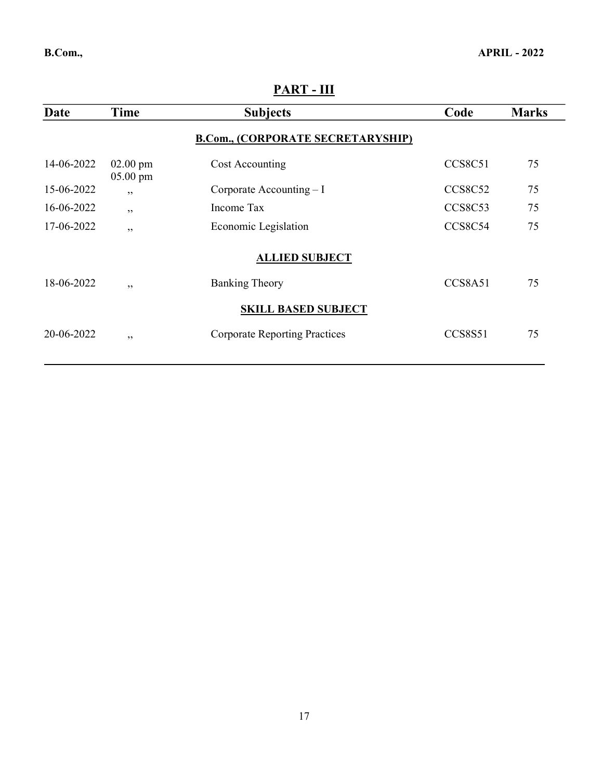| B.Com., | <b>APRIL - 2022</b> |  |
|---------|---------------------|--|
|         |                     |  |

| 1 - 1 AN    |                          |                                          |                |              |  |
|-------------|--------------------------|------------------------------------------|----------------|--------------|--|
| <b>Date</b> | Time                     | <b>Subjects</b>                          | Code           | <b>Marks</b> |  |
|             |                          | <b>B.Com., (CORPORATE SECRETARYSHIP)</b> |                |              |  |
| 14-06-2022  | $02.00$ pm<br>$05.00$ pm | Cost Accounting                          | CCS8C51        | 75           |  |
| 15-06-2022  | , ,                      | Corporate Accounting $-I$                | <b>CCS8C52</b> | 75           |  |
| 16-06-2022  | , ,                      | Income Tax                               | CCS8C53        | 75           |  |
| 17-06-2022  | , ,                      | Economic Legislation                     | CCS8C54        | 75           |  |
|             |                          | <b>ALLIED SUBJECT</b>                    |                |              |  |
| 18-06-2022  | , ,                      | <b>Banking Theory</b>                    | CCS8A51        | 75           |  |
|             |                          | <b>SKILL BASED SUBJECT</b>               |                |              |  |
| 20-06-2022  | , ,                      | <b>Corporate Reporting Practices</b>     | <b>CCS8S51</b> | 75           |  |
|             |                          |                                          |                |              |  |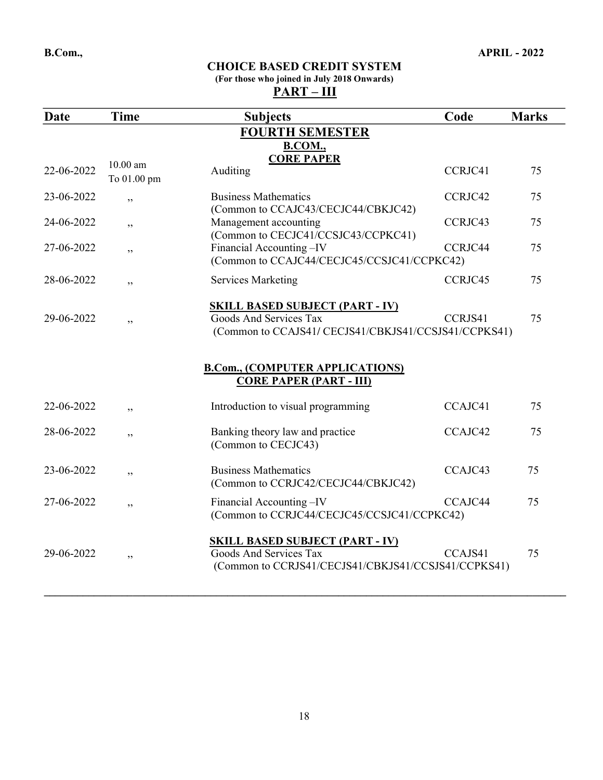#### (For those who joined in July 2018 Onwards)  $\frac{\dot{P}ART - \dot{III}}{PART - \dot{III}}$

| Date       | Time                      | <b>Subjects</b>                                                                                                         | Code    | <b>Marks</b> |
|------------|---------------------------|-------------------------------------------------------------------------------------------------------------------------|---------|--------------|
|            |                           | <b>FOURTH SEMESTER</b>                                                                                                  |         |              |
|            |                           | <b>B.COM.</b> ,                                                                                                         |         |              |
| 22-06-2022 | $10.00$ am<br>To 01.00 pm | <b>CORE PAPER</b><br>Auditing                                                                                           | CCRJC41 | 75           |
| 23-06-2022 | , ,                       | <b>Business Mathematics</b><br>(Common to CCAJC43/CECJC44/CBKJC42)                                                      | CCRJC42 | 75           |
| 24-06-2022 | , ,                       | Management accounting<br>(Common to CECJC41/CCSJC43/CCPKC41)                                                            | CCRJC43 | 75           |
| 27-06-2022 | , ,                       | Financial Accounting-IV<br>(Common to CCAJC44/CECJC45/CCSJC41/CCPKC42)                                                  | CCRJC44 | 75           |
| 28-06-2022 | , ,                       | <b>Services Marketing</b>                                                                                               | CCRJC45 | 75           |
| 29-06-2022 | , ,                       | <b>SKILL BASED SUBJECT (PART - IV)</b><br>Goods And Services Tax<br>(Common to CCAJS41/CECJS41/CBKJS41/CCSJS41/CCPKS41) | CCRJS41 | 75           |
|            |                           | <b>B.Com., (COMPUTER APPLICATIONS)</b><br><b>CORE PAPER (PART - III)</b>                                                |         |              |
| 22-06-2022 | , ,                       | Introduction to visual programming                                                                                      | CCAJC41 | 75           |
| 28-06-2022 | , ,                       | Banking theory law and practice<br>(Common to CECJC43)                                                                  | CCAJC42 | 75           |
| 23-06-2022 | , ,                       | <b>Business Mathematics</b><br>(Common to CCRJC42/CECJC44/CBKJC42)                                                      | CCAJC43 | 75           |
| 27-06-2022 | , ,                       | Financial Accounting -IV<br>(Common to CCRJC44/CECJC45/CCSJC41/CCPKC42)                                                 | CCAJC44 | 75           |
|            |                           |                                                                                                                         |         |              |
| 29-06-2022 | , ,                       | <b>SKILL BASED SUBJECT (PART - IV)</b><br>Goods And Services Tax                                                        | CCAJS41 | 75           |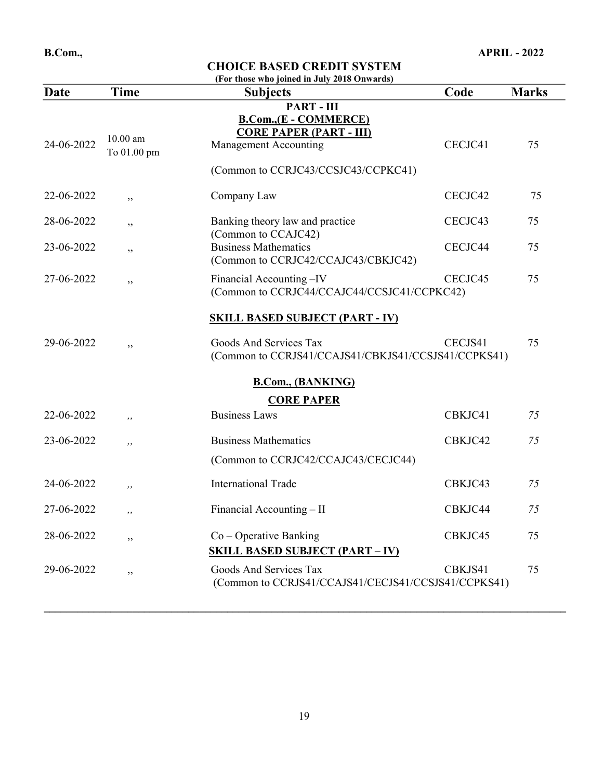| Date       | <b>Time</b>               | (For those who joined in July 2018 Onwards)<br><b>Subjects</b>                           | Code    | <b>Marks</b> |
|------------|---------------------------|------------------------------------------------------------------------------------------|---------|--------------|
|            |                           | <b>PART-III</b>                                                                          |         |              |
| 24-06-2022 | $10.00$ am<br>To 01.00 pm | <b>B.Com., (E - COMMERCE)</b><br><b>CORE PAPER (PART - III)</b><br>Management Accounting | CECJC41 | 75           |
|            |                           | (Common to CCRJC43/CCSJC43/CCPKC41)                                                      |         |              |
| 22-06-2022 | ,,                        | Company Law                                                                              | CECJC42 | 75           |
| 28-06-2022 | ,,                        | Banking theory law and practice<br>(Common to CCAJC42)                                   | CECJC43 | 75           |
| 23-06-2022 | ,,                        | <b>Business Mathematics</b><br>(Common to CCRJC42/CCAJC43/CBKJC42)                       | CECJC44 | 75           |
| 27-06-2022 | ,,                        | Financial Accounting-IV<br>(Common to CCRJC44/CCAJC44/CCSJC41/CCPKC42)                   | CECJC45 | 75           |
|            |                           | <b>SKILL BASED SUBJECT (PART - IV)</b>                                                   |         |              |
| 29-06-2022 | ,,                        | Goods And Services Tax<br>(Common to CCRJS41/CCAJS41/CBKJS41/CCSJS41/CCPKS41)            | CECJS41 | 75           |
|            |                           | <b>B.Com., (BANKING)</b><br><b>CORE PAPER</b>                                            |         |              |
| 22-06-2022 | ,,                        | <b>Business Laws</b>                                                                     | CBKJC41 | 75           |
| 23-06-2022 | ,,                        | <b>Business Mathematics</b>                                                              | CBKJC42 | 75           |
|            |                           | (Common to CCRJC42/CCAJC43/CECJC44)                                                      |         |              |
| 24-06-2022 | ,,                        | <b>International Trade</b>                                                               | CBKJC43 | 75           |
| 27-06-2022 | ,,                        | Financial Accounting - II                                                                | CBKJC44 | 75           |
| 28-06-2022 | ,,                        | $Co$ – Operative Banking<br><b>SKILL BASED SUBJECT (PART - IV)</b>                       | CBKJC45 | 75           |
| 29-06-2022 | , ,                       | Goods And Services Tax<br>(Common to CCRJS41/CCAJS41/CECJS41/CCSJS41/CCPKS41)            | CBKJS41 | 75           |

 $\_$  ,  $\_$  ,  $\_$  ,  $\_$  ,  $\_$  ,  $\_$  ,  $\_$  ,  $\_$  ,  $\_$  ,  $\_$  ,  $\_$  ,  $\_$  ,  $\_$  ,  $\_$  ,  $\_$  ,  $\_$  ,  $\_$  ,  $\_$  ,  $\_$  ,  $\_$  ,  $\_$  ,  $\_$  ,  $\_$  ,  $\_$  ,  $\_$  ,  $\_$  ,  $\_$  ,  $\_$  ,  $\_$  ,  $\_$  ,  $\_$  ,  $\_$  ,  $\_$  ,  $\_$  ,  $\_$  ,  $\_$  ,  $\_$  ,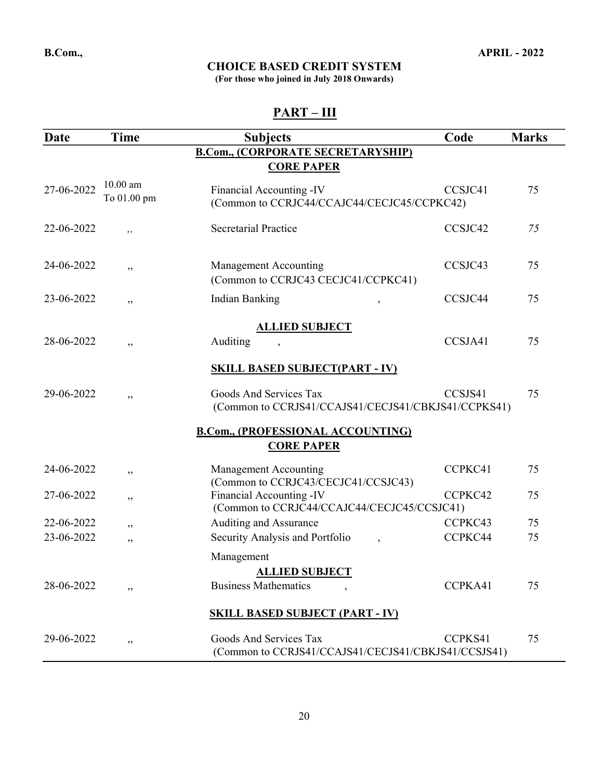(For those who joined in July 2018 Onwards)

| <b>Date</b> | <b>Time</b>               | <b>Subjects</b>                                                               | Code    | <b>Marks</b> |
|-------------|---------------------------|-------------------------------------------------------------------------------|---------|--------------|
|             |                           | <b>B.Com., (CORPORATE SECRETARYSHIP)</b>                                      |         |              |
|             |                           | <b>CORE PAPER</b>                                                             |         |              |
| 27-06-2022  | $10.00$ am<br>To 01.00 pm | Financial Accounting -IV<br>(Common to CCRJC44/CCAJC44/CECJC45/CCPKC42)       | CCSJC41 | 75           |
| 22-06-2022  | ,,                        | <b>Secretarial Practice</b>                                                   | CCSJC42 | 75           |
| 24-06-2022  | ,,                        | <b>Management Accounting</b><br>(Common to CCRJC43 CECJC41/CCPKC41)           | CCSJC43 | 75           |
| 23-06-2022  | ,,                        | <b>Indian Banking</b><br>$\overline{ }$                                       | CCSJC44 | 75           |
|             |                           | <b>ALLIED SUBJECT</b>                                                         |         |              |
| 28-06-2022  | ,,                        | Auditing                                                                      | CCSJA41 | 75           |
|             |                           | <b>SKILL BASED SUBJECT(PART - IV)</b>                                         |         |              |
| 29-06-2022  | ,,                        | Goods And Services Tax<br>(Common to CCRJS41/CCAJS41/CECJS41/CBKJS41/CCPKS41) | CCSJS41 | 75           |
|             |                           | <b>B.Com., (PROFESSIONAL ACCOUNTING)</b>                                      |         |              |
|             |                           | <b>CORE PAPER</b>                                                             |         |              |
| 24-06-2022  | ,,                        | Management Accounting<br>(Common to CCRJC43/CECJC41/CCSJC43)                  | CCPKC41 | 75           |
| 27-06-2022  | ,,                        | Financial Accounting -IV<br>(Common to CCRJC44/CCAJC44/CECJC45/CCSJC41)       | CCPKC42 | 75           |
| 22-06-2022  | ,,                        | Auditing and Assurance                                                        | CCPKC43 | 75           |
| 23-06-2022  | ,,                        | Security Analysis and Portfolio                                               | CCPKC44 | 75           |
|             |                           | Management<br><b>ALLIED SUBJECT</b>                                           |         |              |
| 28-06-2022  | ,,                        | <b>Business Mathematics</b>                                                   | CCPKA41 | 75           |
|             |                           | <b>SKILL BASED SUBJECT (PART - IV)</b>                                        |         |              |
| 29-06-2022  | ,,                        | Goods And Services Tax<br>(Common to CCRJS41/CCAJS41/CECJS41/CBKJS41/CCSJS41) | CCPKS41 | 75           |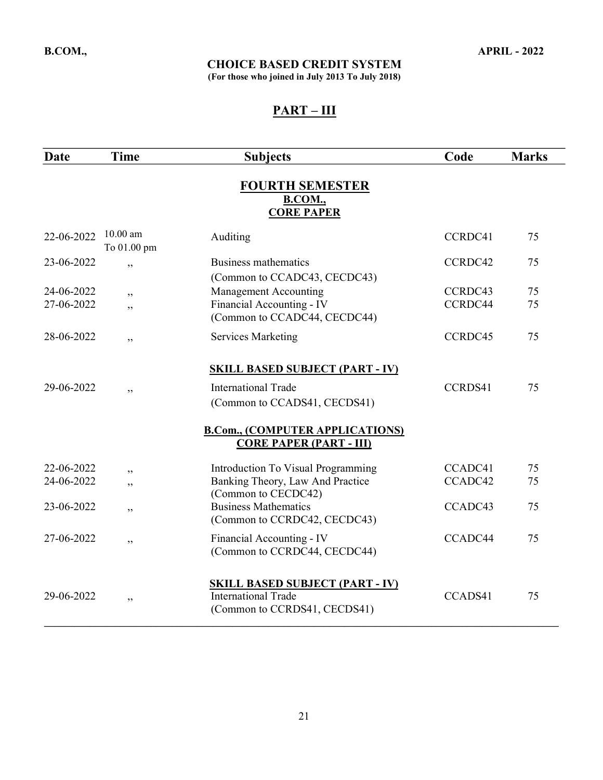(For those who joined in July 2013 To July 2018)

| Date       | <b>Time</b>               | <b>Subjects</b>                                                                                      | Code    | <b>Marks</b> |
|------------|---------------------------|------------------------------------------------------------------------------------------------------|---------|--------------|
|            |                           | <b>FOURTH SEMESTER</b><br><b>B.COM.,</b><br><b>CORE PAPER</b>                                        |         |              |
| 22-06-2022 | $10.00$ am<br>To 01.00 pm | Auditing                                                                                             | CCRDC41 | 75           |
| 23-06-2022 | ,                         | Business mathematics<br>(Common to CCADC43, CECDC43)                                                 | CCRDC42 | 75           |
| 24-06-2022 | , ,                       | <b>Management Accounting</b>                                                                         | CCRDC43 | 75           |
| 27-06-2022 | , ,                       | Financial Accounting - IV<br>(Common to CCADC44, CECDC44)                                            | CCRDC44 | 75           |
| 28-06-2022 | ,,                        | <b>Services Marketing</b>                                                                            | CCRDC45 | 75           |
|            |                           | <b>SKILL BASED SUBJECT (PART - IV)</b>                                                               |         |              |
| 29-06-2022 | , ,                       | <b>International Trade</b><br>(Common to CCADS41, CECDS41)                                           | CCRDS41 | 75           |
|            |                           | <b>B.Com., (COMPUTER APPLICATIONS)</b><br><b>CORE PAPER (PART - III)</b>                             |         |              |
| 22-06-2022 | , ,                       | Introduction To Visual Programming                                                                   | CCADC41 | 75           |
| 24-06-2022 | ,,                        | Banking Theory, Law And Practice<br>(Common to CECDC42)                                              | CCADC42 | 75           |
| 23-06-2022 | ,,                        | <b>Business Mathematics</b><br>(Common to CCRDC42, CECDC43)                                          | CCADC43 | 75           |
| 27-06-2022 | , ,                       | Financial Accounting - IV<br>(Common to CCRDC44, CECDC44)                                            | CCADC44 | 75           |
| 29-06-2022 | , ,                       | <b>SKILL BASED SUBJECT (PART - IV)</b><br><b>International Trade</b><br>(Common to CCRDS41, CECDS41) | CCADS41 | 75           |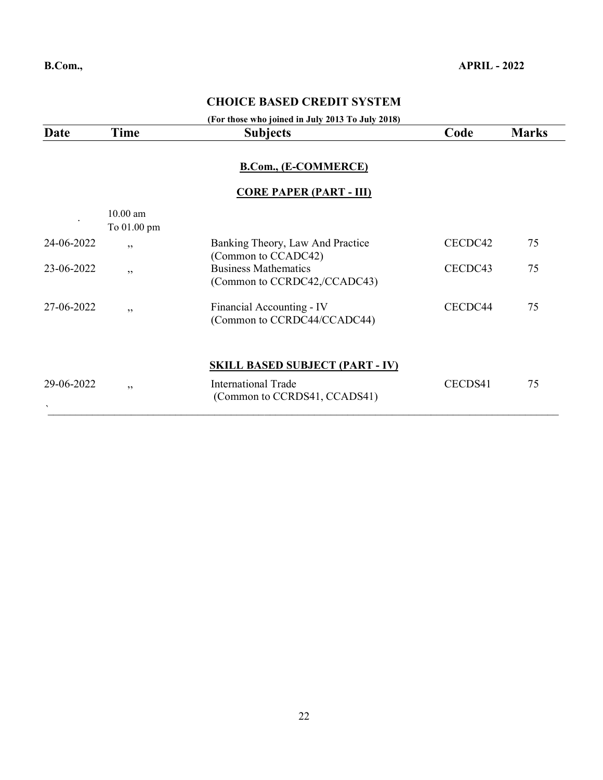#### (For those who joined in July 2013 To July 2018)

| Date                                     | Time                      | <b>Subjects</b>                                             | Code    | <b>Marks</b> |
|------------------------------------------|---------------------------|-------------------------------------------------------------|---------|--------------|
|                                          |                           | B.Com., (E-COMMERCE)<br><b>CORE PAPER (PART - III)</b>      |         |              |
|                                          | $10.00$ am<br>To 01.00 pm |                                                             |         |              |
| 24-06-2022                               | , ,                       | Banking Theory, Law And Practice<br>(Common to CCADC42)     | CECDC42 | 75           |
| 23-06-2022                               | ,,                        | <b>Business Mathematics</b><br>(Common to CCRDC42,/CCADC43) | CECDC43 | 75           |
| 27-06-2022                               | , ,                       | Financial Accounting - IV<br>(Common to CCRDC44/CCADC44)    | CECDC44 | 75           |
|                                          |                           | <b>SKILL BASED SUBJECT (PART - IV)</b>                      |         |              |
| 29-06-2022<br>$\boldsymbol{\mathcal{A}}$ | , ,                       | <b>International Trade</b><br>(Common to CCRDS41, CCADS41)  | CECDS41 | 75           |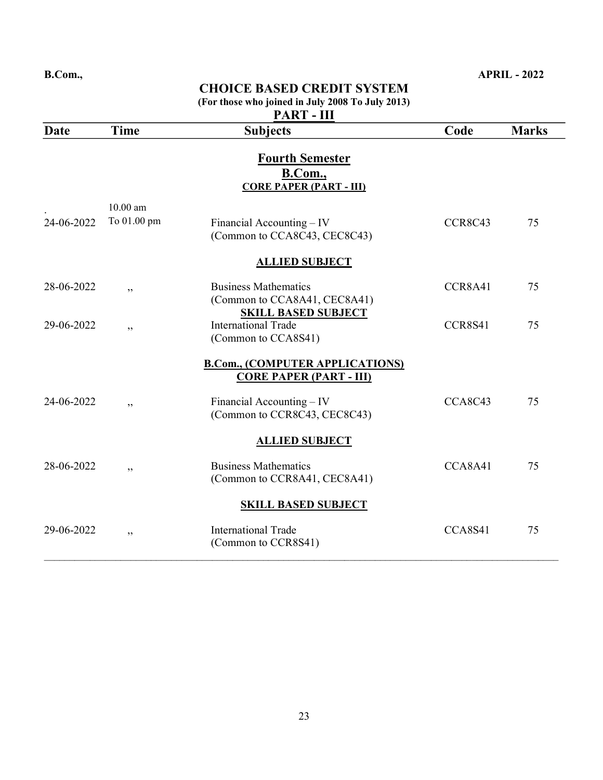|            |                           | <b>CHOICE BASED CREDIT SYSTEM</b><br>(For those who joined in July 2008 To July 2013)     |         |              |
|------------|---------------------------|-------------------------------------------------------------------------------------------|---------|--------------|
| Date       | <b>Time</b>               | PART - III<br><b>Subjects</b>                                                             | Code    | <b>Marks</b> |
|            |                           | <b>Fourth Semester</b><br><b>B.Com.</b> ,<br><b>CORE PAPER (PART - III)</b>               |         |              |
| 24-06-2022 | $10.00$ am<br>To 01.00 pm | Financial Accounting – IV<br>(Common to CCA8C43, CEC8C43)                                 | CCR8C43 | 75           |
|            |                           | <b>ALLIED SUBJECT</b>                                                                     |         |              |
| 28-06-2022 | , ,                       | <b>Business Mathematics</b><br>(Common to CCA8A41, CEC8A41)<br><b>SKILL BASED SUBJECT</b> | CCR8A41 | 75           |
| 29-06-2022 | , ,                       | <b>International Trade</b><br>(Common to CCA8S41)                                         | CCR8S41 | 75           |
|            |                           | <b>B.Com., (COMPUTER APPLICATIONS)</b><br><b>CORE PAPER (PART - III)</b>                  |         |              |
| 24-06-2022 | , ,                       | Financial Accounting – IV<br>(Common to CCR8C43, CEC8C43)                                 | CCA8C43 | 75           |
|            |                           | <b>ALLIED SUBJECT</b>                                                                     |         |              |
| 28-06-2022 | , ,                       | <b>Business Mathematics</b><br>(Common to CCR8A41, CEC8A41)                               | CCA8A41 | 75           |
|            |                           | <b>SKILL BASED SUBJECT</b>                                                                |         |              |
| 29-06-2022 | , ,                       | <b>International Trade</b><br>(Common to CCR8S41)                                         | CCA8S41 | 75           |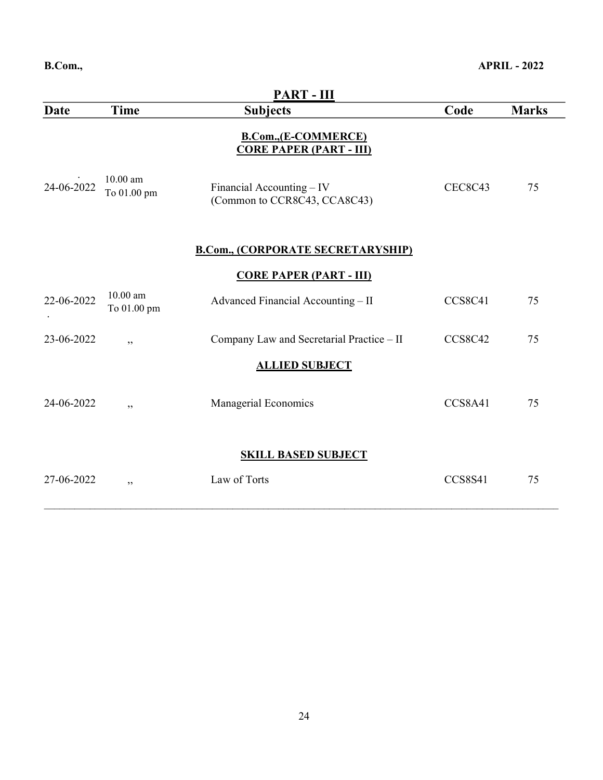| <b>PART - III</b>          |                           |                                                               |                |              |
|----------------------------|---------------------------|---------------------------------------------------------------|----------------|--------------|
| <b>Date</b>                | <b>Time</b>               | <b>Subjects</b>                                               | Code           | <b>Marks</b> |
|                            |                           | <b>B.Com., (E-COMMERCE)</b><br><b>CORE PAPER (PART - III)</b> |                |              |
| 24-06-2022                 | $10.00$ am<br>To 01.00 pm | Financial Accounting $-$ IV<br>(Common to CCR8C43, CCA8C43)   | <b>CEC8C43</b> | 75           |
|                            |                           | <b>B.Com., (CORPORATE SECRETARYSHIP)</b>                      |                |              |
|                            |                           | <b>CORE PAPER (PART - III)</b>                                |                |              |
| 22-06-2022                 | $10.00$ am<br>To 01.00 pm | Advanced Financial Accounting - II                            | CCS8C41        | 75           |
| 23-06-2022                 | , ,                       | Company Law and Secretarial Practice - II                     | <b>CCS8C42</b> | 75           |
|                            |                           | <b>ALLIED SUBJECT</b>                                         |                |              |
| 24-06-2022                 | , ,                       | Managerial Economics                                          | CCS8A41        | 75           |
| <b>SKILL BASED SUBJECT</b> |                           |                                                               |                |              |
| 27-06-2022                 | , ,                       | Law of Torts                                                  | CCS8S41        | 75           |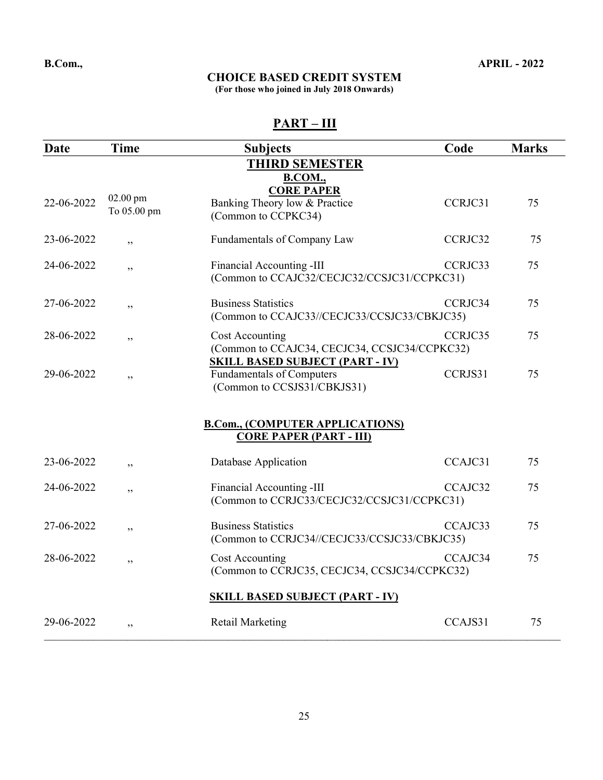(For those who joined in July 2018 Onwards)

| Date                                                         | <b>Time</b>             | <b>Subjects</b>                                                                                            | Code    | <b>Marks</b> |  |  |
|--------------------------------------------------------------|-------------------------|------------------------------------------------------------------------------------------------------------|---------|--------------|--|--|
| <b>THIRD SEMESTER</b><br><b>B.COM.,</b><br><b>CORE PAPER</b> |                         |                                                                                                            |         |              |  |  |
| 22-06-2022                                                   | 02.00 pm<br>To 05.00 pm | Banking Theory low & Practice<br>(Common to CCPKC34)                                                       | CCRJC31 | 75           |  |  |
| 23-06-2022                                                   | , ,                     | Fundamentals of Company Law                                                                                | CCRJC32 | 75           |  |  |
| 24-06-2022                                                   | ,,                      | Financial Accounting -III<br>(Common to CCAJC32/CECJC32/CCSJC31/CCPKC31)                                   | CCRJC33 | 75           |  |  |
| 27-06-2022                                                   | ,,                      | <b>Business Statistics</b><br>(Common to CCAJC33//CECJC33/CCSJC33/CBKJC35)                                 | CCRJC34 | 75           |  |  |
| 28-06-2022                                                   | ,,                      | Cost Accounting<br>(Common to CCAJC34, CECJC34, CCSJC34/CCPKC32)<br><u>SKILL BASED SUBJECT (PART - IV)</u> | CCRJC35 | 75           |  |  |
| 29-06-2022                                                   | ,,                      | <b>Fundamentals of Computers</b><br>(Common to CCSJS31/CBKJS31)                                            | CCRJS31 | 75           |  |  |
|                                                              |                         | <b>B.Com., (COMPUTER APPLICATIONS)</b><br><b>CORE PAPER (PART - III)</b>                                   |         |              |  |  |
| 23-06-2022                                                   | , ,                     | Database Application                                                                                       | CCAJC31 | 75           |  |  |
| 24-06-2022                                                   | ,,                      | Financial Accounting -III<br>(Common to CCRJC33/CECJC32/CCSJC31/CCPKC31)                                   | CCAJC32 | 75           |  |  |
| 27-06-2022                                                   | ,,                      | <b>Business Statistics</b><br>(Common to CCRJC34//CECJC33/CCSJC33/CBKJC35)                                 | CCAJC33 | 75           |  |  |
| 28-06-2022                                                   | ,,                      | Cost Accounting<br>(Common to CCRJC35, CECJC34, CCSJC34/CCPKC32)                                           | CCAJC34 | 75           |  |  |
|                                                              |                         | <b>SKILL BASED SUBJECT (PART - IV)</b>                                                                     |         |              |  |  |
| 29-06-2022                                                   | ,,                      | <b>Retail Marketing</b>                                                                                    | CCAJS31 | 75           |  |  |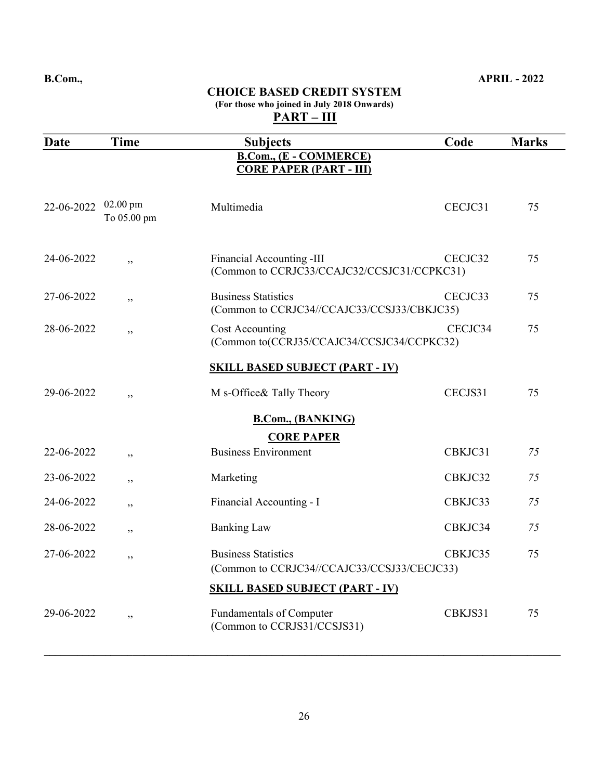#### CHOICE BASED CREDIT SYSTEM (For those who joined in July 2018 Onwards)  $\frac{\dot{P}ART - III}{P_{P}$

| Date       | <b>Time</b>               | <b>Subjects</b>                                                           | Code    | <b>Marks</b> |
|------------|---------------------------|---------------------------------------------------------------------------|---------|--------------|
|            |                           | <b>B.Com., (E - COMMERCE)</b><br><b>CORE PAPER (PART - III)</b>           |         |              |
| 22-06-2022 | $02.00$ pm<br>To 05.00 pm | Multimedia                                                                | CECJC31 | 75           |
| 24-06-2022 | ,,                        | Financial Accounting -III<br>(Common to CCRJC33/CCAJC32/CCSJC31/CCPKC31)  | CECJC32 | 75           |
| 27-06-2022 | ,,                        | <b>Business Statistics</b><br>(Common to CCRJC34//CCAJC33/CCSJ33/CBKJC35) | CECJC33 | 75           |
| 28-06-2022 | ,,                        | Cost Accounting<br>(Common to(CCRJ35/CCAJC34/CCSJC34/CCPKC32)             | CECJC34 | 75           |
|            |                           | <b>SKILL BASED SUBJECT (PART - IV)</b>                                    |         |              |
| 29-06-2022 | , ,                       | M s-Office& Tally Theory                                                  | CECJS31 | 75           |
|            |                           | <b>B.Com., (BANKING)</b><br><b>CORE PAPER</b>                             |         |              |
| 22-06-2022 | , ,                       | <b>Business Environment</b>                                               | CBKJC31 | 75           |
| 23-06-2022 | ,,                        | Marketing                                                                 | CBKJC32 | 75           |
| 24-06-2022 | ,,                        | Financial Accounting - I                                                  | CBKJC33 | 75           |
| 28-06-2022 | ,,                        | <b>Banking Law</b>                                                        | CBKJC34 | 75           |
| 27-06-2022 | ,,                        | <b>Business Statistics</b><br>(Common to CCRJC34//CCAJC33/CCSJ33/CECJC33) | CBKJC35 | 75           |
|            |                           | <b>SKILL BASED SUBJECT (PART - IV)</b>                                    |         |              |
| 29-06-2022 | , ,                       | <b>Fundamentals of Computer</b><br>(Common to CCRJS31/CCSJS31)            | CBKJS31 | 75           |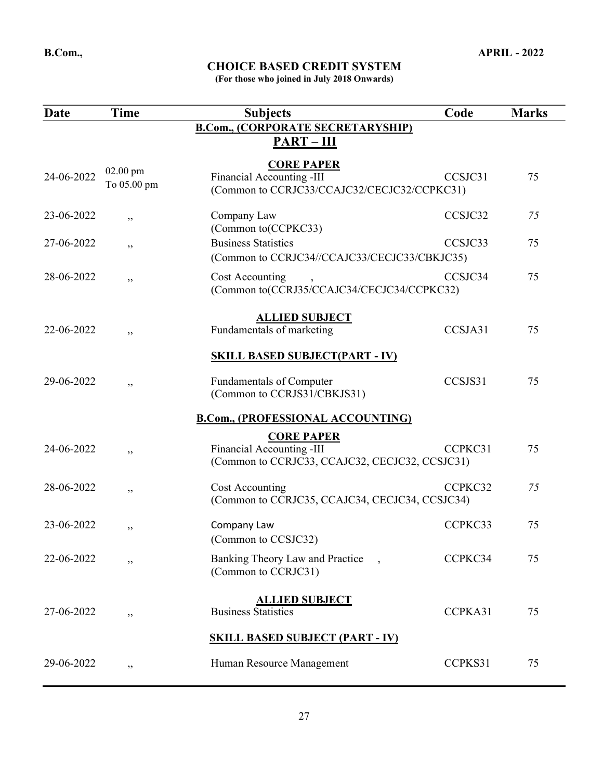(For those who joined in July 2018 Onwards)

| <b>Date</b>                            | <b>Time</b>               | <b>Subjects</b>                                                                                  | Code    | <b>Marks</b> |  |
|----------------------------------------|---------------------------|--------------------------------------------------------------------------------------------------|---------|--------------|--|
|                                        |                           | <b>B.Com., (CORPORATE SECRETARYSHIP)</b>                                                         |         |              |  |
|                                        |                           | $PART - III$                                                                                     |         |              |  |
| 24-06-2022                             | $02.00$ pm<br>To 05.00 pm | <b>CORE PAPER</b><br>Financial Accounting -III<br>(Common to CCRJC33/CCAJC32/CECJC32/CCPKC31)    | CCSJC31 | 75           |  |
| 23-06-2022                             | ,,                        | Company Law<br>(Common to(CCPKC33)                                                               | CCSJC32 | 75           |  |
| 27-06-2022                             | ,,                        | <b>Business Statistics</b>                                                                       | CCSJC33 | 75           |  |
|                                        |                           | (Common to CCRJC34//CCAJC33/CECJC33/CBKJC35)                                                     |         |              |  |
| 28-06-2022                             | ,,                        | Cost Accounting<br>(Common to(CCRJ35/CCAJC34/CECJC34/CCPKC32)                                    | CCSJC34 | 75           |  |
|                                        |                           | <b>ALLIED SUBJECT</b>                                                                            |         |              |  |
| 22-06-2022                             | ,,                        | Fundamentals of marketing                                                                        | CCSJA31 | 75           |  |
|                                        |                           | <b>SKILL BASED SUBJECT(PART - IV)</b>                                                            |         |              |  |
| 29-06-2022                             | , ,                       | <b>Fundamentals of Computer</b><br>(Common to CCRJS31/CBKJS31)                                   | CCSJS31 | 75           |  |
|                                        |                           |                                                                                                  |         |              |  |
|                                        |                           | <b>B.Com., (PROFESSIONAL ACCOUNTING)</b>                                                         |         |              |  |
| 24-06-2022                             | ,,                        | <b>CORE PAPER</b><br>Financial Accounting -III<br>(Common to CCRJC33, CCAJC32, CECJC32, CCSJC31) | CCPKC31 | 75           |  |
| 28-06-2022                             | ,,                        | Cost Accounting<br>(Common to CCRJC35, CCAJC34, CECJC34, CCSJC34)                                | CCPKC32 | 75           |  |
| 23-06-2022                             | ,,                        | Company Law<br>(Common to CCSJC32)                                                               | CCPKC33 | 75           |  |
| 22-06-2022                             | ,,                        | Banking Theory Law and Practice<br>(Common to CCRJC31)                                           | CCPKC34 | 75           |  |
| 27-06-2022                             | ,,                        | <b>ALLIED SUBJECT</b><br><b>Business Statistics</b>                                              | CCPKA31 | 75           |  |
| <b>SKILL BASED SUBJECT (PART - IV)</b> |                           |                                                                                                  |         |              |  |
| 29-06-2022                             | , ,                       | Human Resource Management                                                                        | CCPKS31 | 75           |  |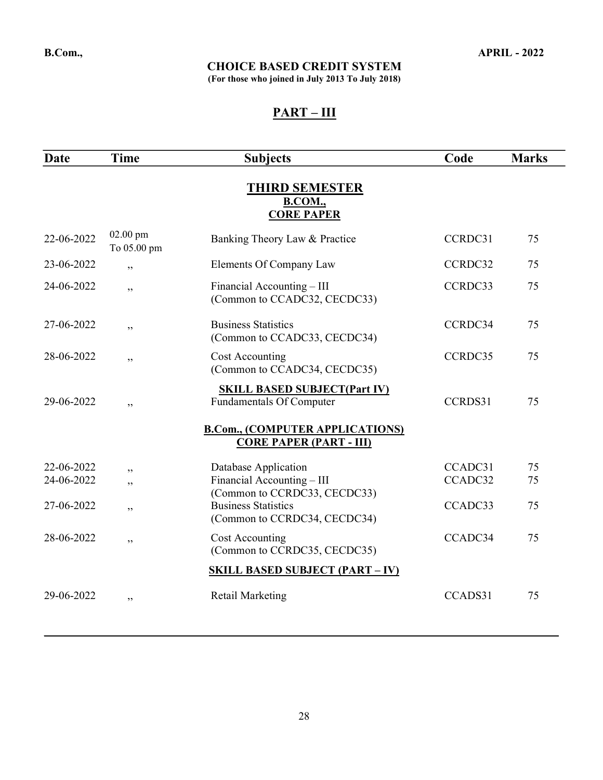(For those who joined in July 2013 To July 2018)

| Date                                                  | <b>Time</b>               | <b>Subjects</b>                                                          | Code    | <b>Marks</b> |  |  |
|-------------------------------------------------------|---------------------------|--------------------------------------------------------------------------|---------|--------------|--|--|
| <b>THIRD SEMESTER</b><br>B.COM.,<br><b>CORE PAPER</b> |                           |                                                                          |         |              |  |  |
| 22-06-2022                                            | $02.00$ pm<br>To 05.00 pm | Banking Theory Law & Practice                                            | CCRDC31 | 75           |  |  |
| 23-06-2022                                            | , ,                       | Elements Of Company Law                                                  | CCRDC32 | 75           |  |  |
| 24-06-2022                                            | , ,                       | Financial Accounting – III<br>(Common to CCADC32, CECDC33)               | CCRDC33 | 75           |  |  |
| 27-06-2022                                            | ,,                        | <b>Business Statistics</b><br>(Common to CCADC33, CECDC34)               | CCRDC34 | 75           |  |  |
| 28-06-2022                                            | , ,                       | <b>Cost Accounting</b><br>(Common to CCADC34, CECDC35)                   | CCRDC35 | 75           |  |  |
| 29-06-2022                                            | , ,                       | <b>SKILL BASED SUBJECT(Part IV)</b><br>Fundamentals Of Computer          | CCRDS31 | 75           |  |  |
|                                                       |                           | <b>B.Com., (COMPUTER APPLICATIONS)</b><br><b>CORE PAPER (PART - III)</b> |         |              |  |  |
| 22-06-2022                                            | ,,                        | Database Application                                                     | CCADC31 | 75           |  |  |
| 24-06-2022                                            | , ,                       | Financial Accounting - III<br>(Common to CCRDC33, CECDC33)               | CCADC32 | 75           |  |  |
| 27-06-2022                                            | ,,                        | <b>Business Statistics</b><br>(Common to CCRDC34, CECDC34)               | CCADC33 | 75           |  |  |
| 28-06-2022                                            | , ,                       | Cost Accounting<br>(Common to CCRDC35, CECDC35)                          | CCADC34 | 75           |  |  |
|                                                       |                           | <b>SKILL BASED SUBJECT (PART - IV)</b>                                   |         |              |  |  |
| 29-06-2022                                            | , ,                       | <b>Retail Marketing</b>                                                  | CCADS31 | 75           |  |  |
|                                                       |                           |                                                                          |         |              |  |  |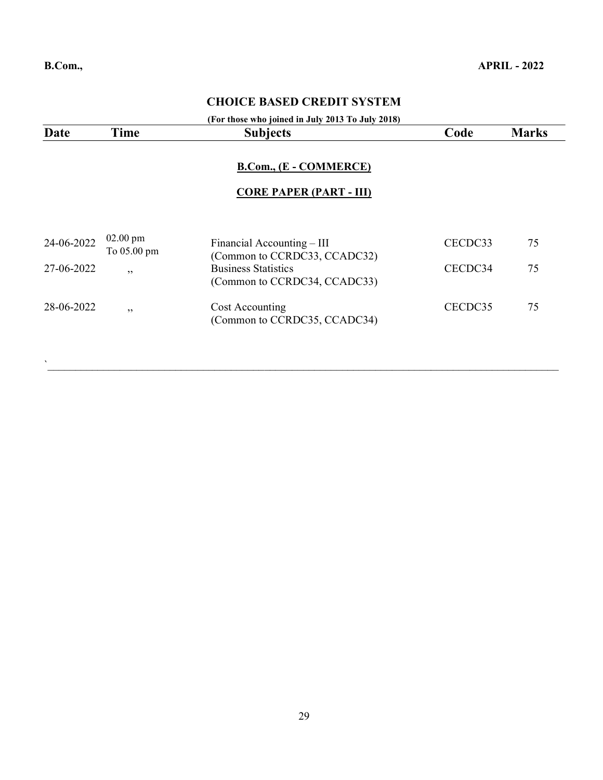#### (For those who joined in July 2013 To July 2018)

| Date       | <b>Time</b>                       | <b>Subjects</b>                                            | Code    | <b>Marks</b> |
|------------|-----------------------------------|------------------------------------------------------------|---------|--------------|
|            |                                   | B.Com., (E - COMMERCE)<br><b>CORE PAPER (PART - III)</b>   |         |              |
| 24-06-2022 | $02.00 \text{ pm}$<br>To 05.00 pm | Financial Accounting – III<br>(Common to CCRDC33, CCADC32) | CECDC33 | 75           |
| 27-06-2022 | , ,                               | <b>Business Statistics</b><br>(Common to CCRDC34, CCADC33) | CECDC34 | 75           |
| 28-06-2022 | , ,                               | Cost Accounting<br>(Common to CCRDC35, CCADC34)            | CECDC35 | 75           |

 $\bm{N}$  , and the contribution of the contribution of the contribution of the contribution of the contribution of the contribution of the contribution of the contribution of the contribution of the contribution of the con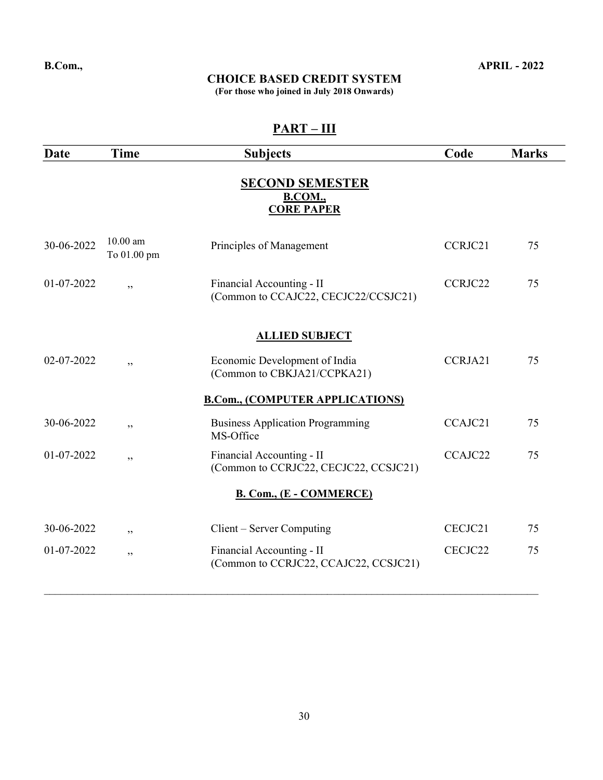#### CHOICE BASED CREDIT SYSTEM

(For those who joined in July 2018 Onwards)

| $PART - III$ |                         |                                                                    |         |              |
|--------------|-------------------------|--------------------------------------------------------------------|---------|--------------|
| Date         | <b>Time</b>             | <b>Subjects</b>                                                    | Code    | <b>Marks</b> |
|              |                         | <b>SECOND SEMESTER</b><br><b>B.COM.</b> ,<br><b>CORE PAPER</b>     |         |              |
| 30-06-2022   | 10.00 am<br>To 01.00 pm | Principles of Management                                           | CCRJC21 | 75           |
| 01-07-2022   | ,                       | Financial Accounting - II<br>(Common to CCAJC22, CECJC22/CCSJC21)  | CCRJC22 | 75           |
|              |                         | <b>ALLIED SUBJECT</b>                                              |         |              |
| 02-07-2022   | ,                       | Economic Development of India<br>(Common to CBKJA21/CCPKA21)       | CCRJA21 | 75           |
|              |                         | <b>B.Com., (COMPUTER APPLICATIONS)</b>                             |         |              |
| 30-06-2022   | ,,                      | <b>Business Application Programming</b><br>MS-Office               | CCAJC21 | 75           |
| 01-07-2022   | , ,                     | Financial Accounting - II<br>(Common to CCRJC22, CECJC22, CCSJC21) | CCAJC22 | 75           |
|              |                         | B. Com., (E - COMMERCE)                                            |         |              |
| 30-06-2022   | , ,                     | Client – Server Computing                                          | CECJC21 | 75           |
| 01-07-2022   | ,,                      | Financial Accounting - II<br>(Common to CCRJC22, CCAJC22, CCSJC21) | CECJC22 | 75           |
|              |                         |                                                                    |         |              |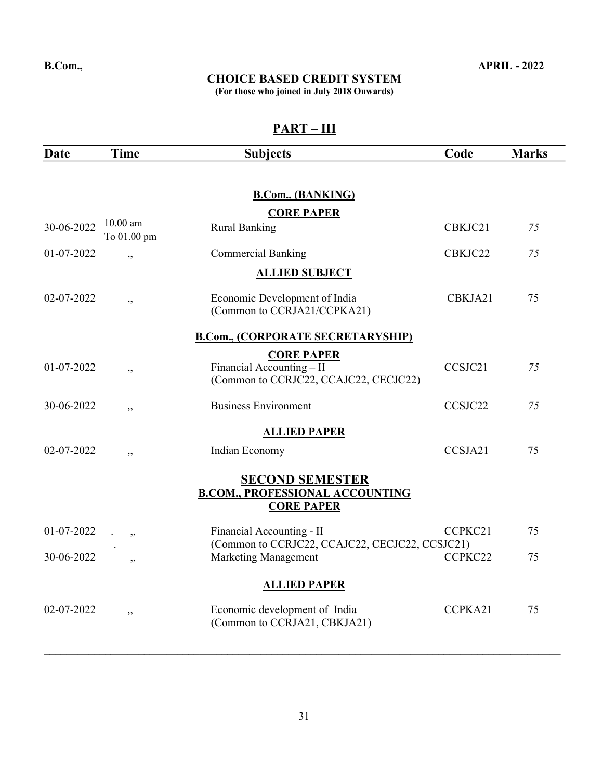#### CHOICE BASED CREDIT SYSTEM

(For those who joined in July 2018 Onwards)

| Date       | <b>Time</b>               | <b>Subjects</b>                                                  | Code    | <b>Marks</b> |
|------------|---------------------------|------------------------------------------------------------------|---------|--------------|
|            |                           |                                                                  |         |              |
|            |                           | <b>B.Com., (BANKING)</b>                                         |         |              |
|            |                           | <b>CORE PAPER</b>                                                |         |              |
| 30-06-2022 | $10.00$ am<br>To 01.00 pm | <b>Rural Banking</b>                                             | CBKJC21 | 75           |
| 01-07-2022 | , ,                       | <b>Commercial Banking</b>                                        | CBKJC22 | 75           |
|            |                           | <b>ALLIED SUBJECT</b>                                            |         |              |
| 02-07-2022 | , ,                       | Economic Development of India<br>(Common to CCRJA21/CCPKA21)     | CBKJA21 | 75           |
|            |                           |                                                                  |         |              |
|            |                           | <b>B.Com., (CORPORATE SECRETARYSHIP)</b>                         |         |              |
| 01-07-2022 | ,,                        | <b>CORE PAPER</b><br>Financial Accounting - II                   | CCSJC21 | 75           |
|            |                           | (Common to CCRJC22, CCAJC22, CECJC22)                            |         |              |
| 30-06-2022 | ,,                        | <b>Business Environment</b>                                      | CCSJC22 | 75           |
|            |                           | <b>ALLIED PAPER</b>                                              |         |              |
| 02-07-2022 | , ,                       | Indian Economy                                                   | CCSJA21 | 75           |
|            |                           | <b>SECOND SEMESTER</b><br><b>B.COM., PROFESSIONAL ACCOUNTING</b> |         |              |
|            |                           | <b>CORE PAPER</b>                                                |         |              |
| 01-07-2022 | , ,                       | Financial Accounting - II                                        | CCPKC21 | 75           |
|            |                           | (Common to CCRJC22, CCAJC22, CECJC22, CCSJC21)                   |         |              |
| 30-06-2022 | ,,                        | <b>Marketing Management</b>                                      | CCPKC22 | 75           |
|            |                           | <b>ALLIED PAPER</b>                                              |         |              |
| 02-07-2022 | , ,                       | Economic development of India                                    | CCPKA21 | 75           |
|            |                           | (Common to CCRJA21, CBKJA21)                                     |         |              |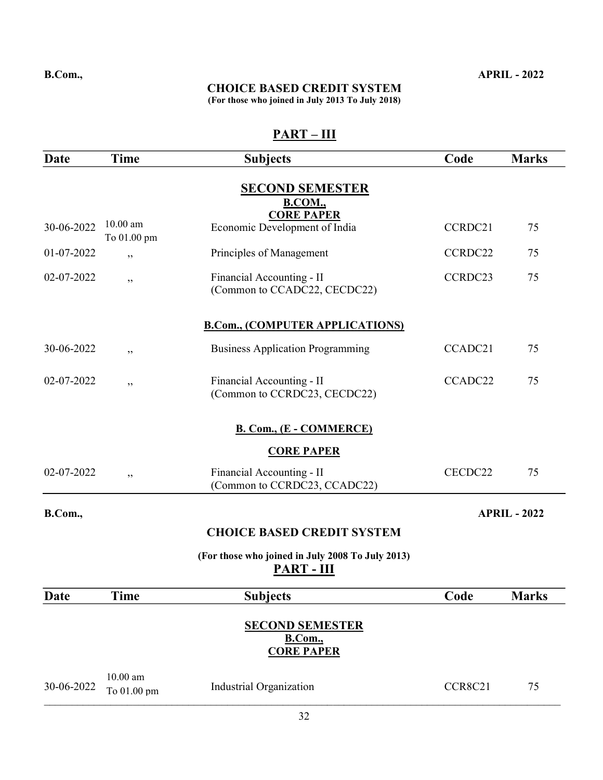## CHOICE BASED CREDIT SYSTEM

(For those who joined in July 2013 To July 2018)

| Date       | <b>Time</b>               | <b>Subjects</b>                                                | Code    | <b>Marks</b>        |
|------------|---------------------------|----------------------------------------------------------------|---------|---------------------|
|            |                           | <b>SECOND SEMESTER</b><br><b>B.COM.</b> ,                      |         |                     |
| 30-06-2022 | $10.00$ am<br>To 01.00 pm | <b>CORE PAPER</b><br>Economic Development of India             | CCRDC21 | 75                  |
| 01-07-2022 | , ,                       | Principles of Management                                       | CCRDC22 | 75                  |
| 02-07-2022 | , ,                       | Financial Accounting - II<br>(Common to CCADC22, CECDC22)      | CCRDC23 | 75                  |
|            |                           | <b>B.Com., (COMPUTER APPLICATIONS)</b>                         |         |                     |
| 30-06-2022 | ,,                        | <b>Business Application Programming</b>                        | CCADC21 | 75                  |
| 02-07-2022 | ,,                        | Financial Accounting - II<br>(Common to CCRDC23, CECDC22)      | CCADC22 | 75                  |
|            |                           | <b>B. Com., (E - COMMERCE)</b>                                 |         |                     |
|            |                           | <b>CORE PAPER</b>                                              |         |                     |
| 02-07-2022 | ,,                        | Financial Accounting - II<br>(Common to CCRDC23, CCADC22)      | CECDC22 | 75                  |
| B.Com.,    |                           |                                                                |         | <b>APRIL - 2022</b> |
|            |                           | <b>CHOICE BASED CREDIT SYSTEM</b>                              |         |                     |
|            |                           | (For those who joined in July 2008 To July 2013)<br>PART - III |         |                     |
| Date       | <b>Time</b>               | <b>Subjects</b>                                                | Code    | <b>Marks</b>        |
|            |                           | <b>SECOND SEMESTER</b><br>B.Com.,<br><b>CORE PAPER</b>         |         |                     |
| 30-06-2022 | $10.00$ am<br>To 01.00 pm | Industrial Organization                                        | CCR8C21 | 75                  |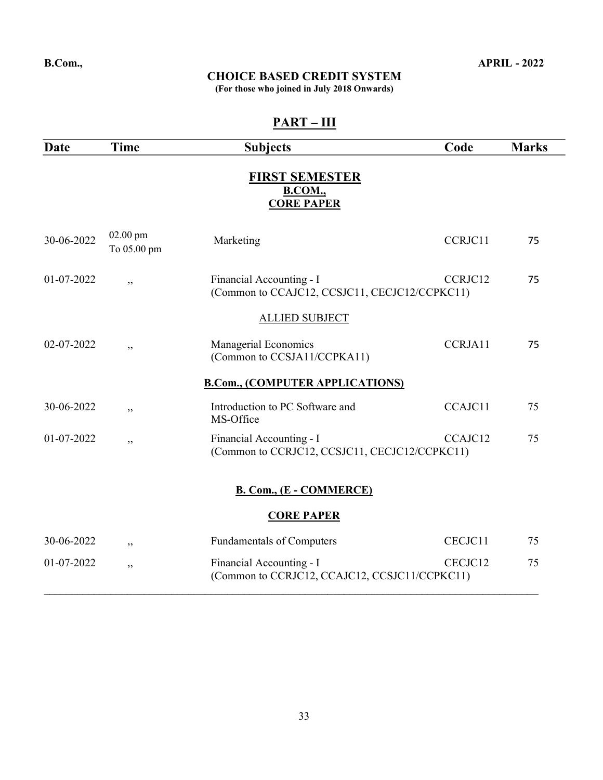(For those who joined in July 2018 Onwards)

| <b>Date</b> | Time                    | <b>Subjects</b>                                                           | Code    | <b>Marks</b> |
|-------------|-------------------------|---------------------------------------------------------------------------|---------|--------------|
|             |                         | <b>FIRST SEMESTER</b><br><b>B.COM.</b> ,<br><b>CORE PAPER</b>             |         |              |
| 30-06-2022  | 02.00 pm<br>To 05.00 pm | Marketing                                                                 | CCRJC11 | 75           |
| 01-07-2022  | , ,                     | Financial Accounting - I<br>(Common to CCAJC12, CCSJC11, CECJC12/CCPKC11) | CCRJC12 | 75           |
|             |                         | <b>ALLIED SUBJECT</b>                                                     |         |              |
| 02-07-2022  | , ,                     | Managerial Economics<br>(Common to CCSJA11/CCPKA11)                       | CCRJA11 | 75           |
|             |                         | <b>B.Com., (COMPUTER APPLICATIONS)</b>                                    |         |              |
| 30-06-2022  | , ,                     | Introduction to PC Software and<br>MS-Office                              | CCAJC11 | 75           |
| 01-07-2022  | ,,                      | Financial Accounting - I<br>(Common to CCRJC12, CCSJC11, CECJC12/CCPKC11) | CCAJC12 | 75           |
|             |                         |                                                                           |         |              |
|             |                         | <b>B. Com., (E - COMMERCE)</b>                                            |         |              |
|             |                         | <b>CORE PAPER</b>                                                         |         |              |
| 30-06-2022  | ,,                      | <b>Fundamentals of Computers</b>                                          | CECJC11 | 75           |
| 01-07-2022  | , ,                     | Financial Accounting - I<br>(Common to CCRJC12, CCAJC12, CCSJC11/CCPKC11) | CECJC12 | 75           |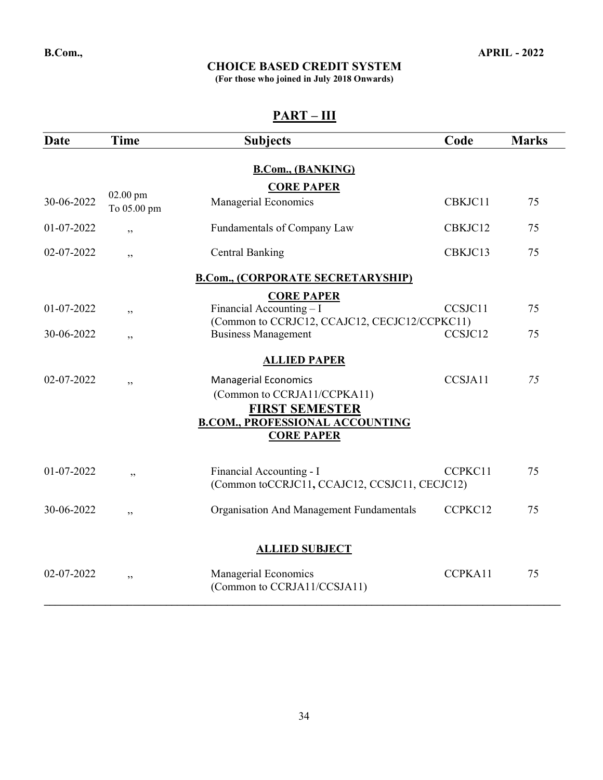(For those who joined in July 2018 Onwards)

| Date       | <b>Time</b>               | <b>Subjects</b>                                                                     | Code    | <b>Marks</b> |  |  |
|------------|---------------------------|-------------------------------------------------------------------------------------|---------|--------------|--|--|
|            |                           | <b>B.Com., (BANKING)</b>                                                            |         |              |  |  |
|            |                           | <b>CORE PAPER</b>                                                                   |         |              |  |  |
| 30-06-2022 | $02.00$ pm<br>To 05.00 pm | Managerial Economics                                                                | CBKJC11 | 75           |  |  |
| 01-07-2022 | ,                         | Fundamentals of Company Law                                                         | CBKJC12 | 75           |  |  |
| 02-07-2022 | , ,                       | <b>Central Banking</b>                                                              | CBKJC13 | 75           |  |  |
|            |                           | <b>B.Com., (CORPORATE SECRETARYSHIP)</b>                                            |         |              |  |  |
|            |                           | <b>CORE PAPER</b>                                                                   |         |              |  |  |
| 01-07-2022 | ,,                        | Financial Accounting $-I$                                                           | CCSJC11 | 75           |  |  |
|            |                           | (Common to CCRJC12, CCAJC12, CECJC12/CCPKC11)                                       |         |              |  |  |
| 30-06-2022 | ,,                        | <b>Business Management</b>                                                          | CCSJC12 | 75           |  |  |
|            |                           | <b>ALLIED PAPER</b>                                                                 |         |              |  |  |
| 02-07-2022 | ,,                        | <b>Managerial Economics</b><br>(Common to CCRJA11/CCPKA11)<br><b>FIRST SEMESTER</b> | CCSJA11 | 75           |  |  |
|            |                           | <b>B.COM., PROFESSIONAL ACCOUNTING</b><br><b>CORE PAPER</b>                         |         |              |  |  |
|            |                           |                                                                                     |         |              |  |  |
| 01-07-2022 | , ,                       | Financial Accounting - I<br>(Common toCCRJC11, CCAJC12, CCSJC11, CECJC12)           | CCPKC11 | 75           |  |  |
| 30-06-2022 | ,,                        | Organisation And Management Fundamentals                                            | CCPKC12 | 75           |  |  |
|            |                           |                                                                                     |         |              |  |  |
|            |                           | <b>ALLIED SUBJECT</b>                                                               |         |              |  |  |
| 02-07-2022 | , ,                       | Managerial Economics<br>(Common to CCRJA11/CCSJA11)                                 | CCPKA11 | 75           |  |  |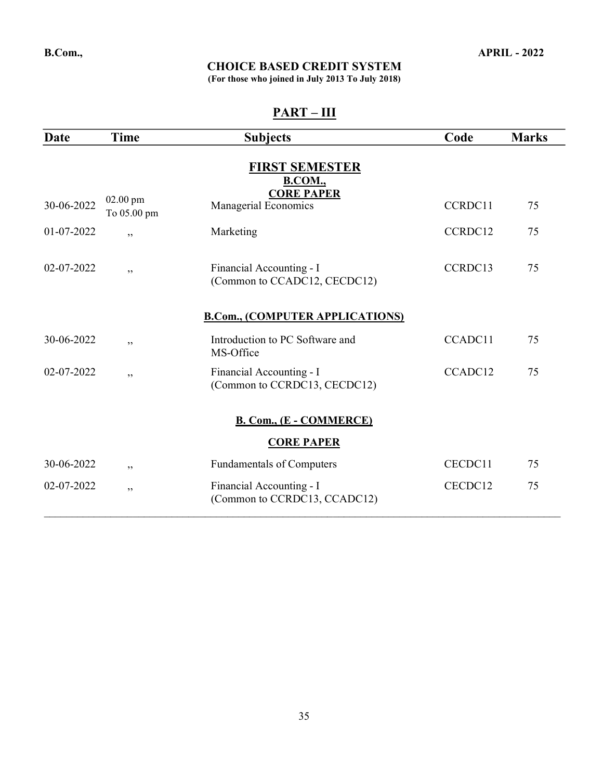(For those who joined in July 2013 To July 2018)

| Date       | <b>Time</b>               | <b>Subjects</b>                                          | Code    | <b>Marks</b> |
|------------|---------------------------|----------------------------------------------------------|---------|--------------|
|            |                           | <b>FIRST SEMESTER</b><br><b>B.COM.</b> ,                 |         |              |
| 30-06-2022 | $02.00$ pm<br>To 05.00 pm | <b>CORE PAPER</b><br>Managerial Economics                | CCRDC11 | 75           |
| 01-07-2022 | ,                         | Marketing                                                | CCRDC12 | 75           |
| 02-07-2022 | ,,                        | Financial Accounting - I<br>(Common to CCADC12, CECDC12) | CCRDC13 | 75           |
|            |                           | <b>B.Com., (COMPUTER APPLICATIONS)</b>                   |         |              |
| 30-06-2022 | , ,                       | Introduction to PC Software and<br>MS-Office             | CCADC11 | 75           |
| 02-07-2022 | ,,                        | Financial Accounting - I<br>(Common to CCRDC13, CECDC12) | CCADC12 | 75           |
|            |                           | <b>B. Com., (E - COMMERCE)</b>                           |         |              |
|            |                           | <b>CORE PAPER</b>                                        |         |              |
| 30-06-2022 | , ,                       | <b>Fundamentals of Computers</b>                         | CECDC11 | 75           |
| 02-07-2022 | , ,                       | Financial Accounting - I<br>(Common to CCRDC13, CCADC12) | CECDC12 | 75           |